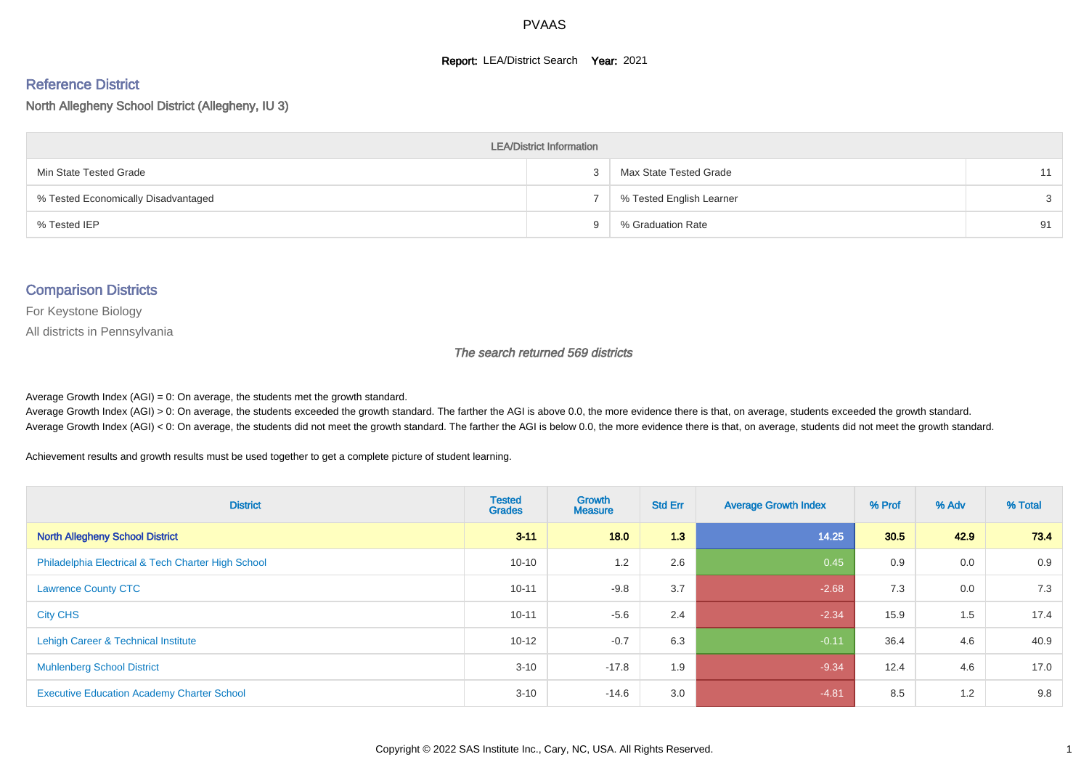#### **Report: LEA/District Search Year: 2021**

# Reference District

North Allegheny School District (Allegheny, IU 3)

| <b>LEA/District Information</b>     |   |                          |    |  |  |  |  |  |  |  |
|-------------------------------------|---|--------------------------|----|--|--|--|--|--|--|--|
| Min State Tested Grade              |   | Max State Tested Grade   | 11 |  |  |  |  |  |  |  |
| % Tested Economically Disadvantaged |   | % Tested English Learner |    |  |  |  |  |  |  |  |
| % Tested IEP                        | g | % Graduation Rate        | 91 |  |  |  |  |  |  |  |

#### Comparison Districts

For Keystone Biology

All districts in Pennsylvania

The search returned 569 districts

Average Growth Index  $(AGI) = 0$ : On average, the students met the growth standard.

Average Growth Index (AGI) > 0: On average, the students exceeded the growth standard. The farther the AGI is above 0.0, the more evidence there is that, on average, students exceeded the growth standard. Average Growth Index (AGI) < 0: On average, the students did not meet the growth standard. The farther the AGI is below 0.0, the more evidence there is that, on average, students did not meet the growth standard.

Achievement results and growth results must be used together to get a complete picture of student learning.

| <b>District</b>                                    | <b>Tested</b><br><b>Grades</b> | <b>Growth</b><br><b>Measure</b> | <b>Std Err</b> | <b>Average Growth Index</b> | % Prof | % Adv | % Total |
|----------------------------------------------------|--------------------------------|---------------------------------|----------------|-----------------------------|--------|-------|---------|
| <b>North Allegheny School District</b>             | $3 - 11$                       | 18.0                            | 1.3            | 14.25                       | 30.5   | 42.9  | 73.4    |
| Philadelphia Electrical & Tech Charter High School | $10 - 10$                      | 1.2                             | 2.6            | 0.45                        | 0.9    | 0.0   | 0.9     |
| <b>Lawrence County CTC</b>                         | $10 - 11$                      | $-9.8$                          | 3.7            | $-2.68$                     | 7.3    | 0.0   | 7.3     |
| <b>City CHS</b>                                    | $10 - 11$                      | $-5.6$                          | 2.4            | $-2.34$                     | 15.9   | 1.5   | 17.4    |
| Lehigh Career & Technical Institute                | $10 - 12$                      | $-0.7$                          | 6.3            | $-0.11$                     | 36.4   | 4.6   | 40.9    |
| <b>Muhlenberg School District</b>                  | $3 - 10$                       | $-17.8$                         | 1.9            | $-9.34$                     | 12.4   | 4.6   | 17.0    |
| <b>Executive Education Academy Charter School</b>  | $3 - 10$                       | $-14.6$                         | 3.0            | $-4.81$                     | 8.5    | 1.2   | 9.8     |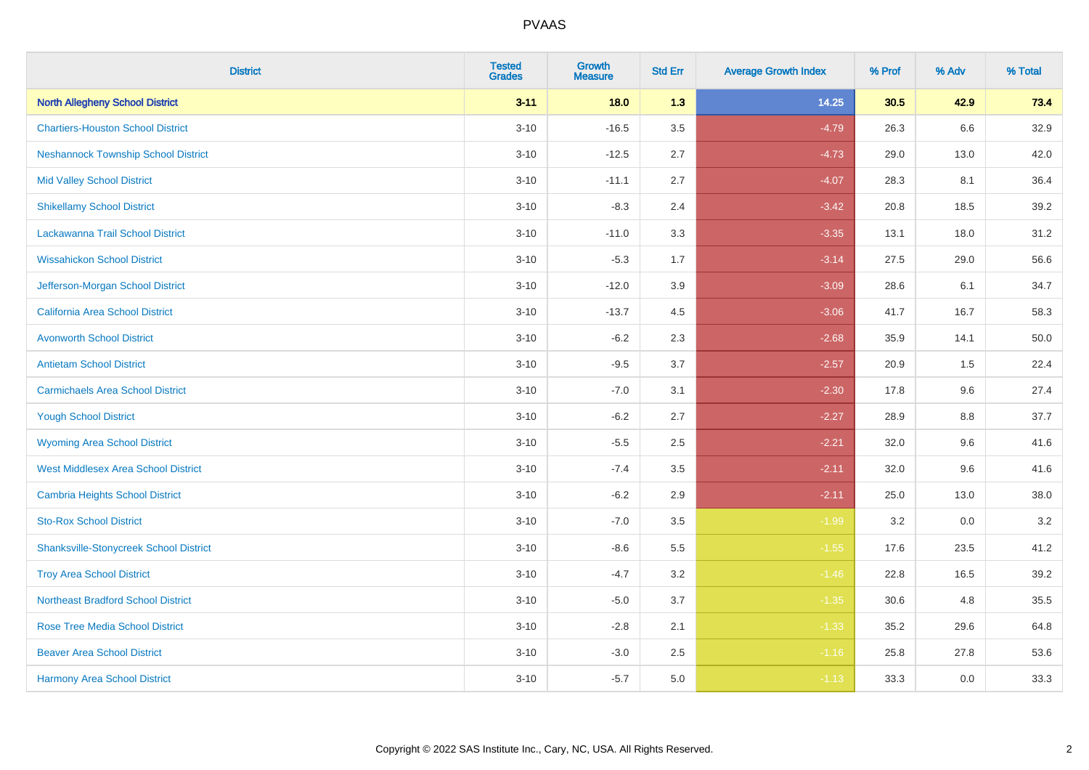| <b>District</b>                               | <b>Tested</b><br><b>Grades</b> | <b>Growth</b><br><b>Measure</b> | <b>Std Err</b> | <b>Average Growth Index</b> | % Prof | % Adv | % Total |
|-----------------------------------------------|--------------------------------|---------------------------------|----------------|-----------------------------|--------|-------|---------|
| <b>North Allegheny School District</b>        | $3 - 11$                       | 18.0                            | 1.3            | 14.25                       | 30.5   | 42.9  | 73.4    |
| <b>Chartiers-Houston School District</b>      | $3 - 10$                       | $-16.5$                         | 3.5            | $-4.79$                     | 26.3   | 6.6   | 32.9    |
| <b>Neshannock Township School District</b>    | $3 - 10$                       | $-12.5$                         | 2.7            | $-4.73$                     | 29.0   | 13.0  | 42.0    |
| <b>Mid Valley School District</b>             | $3 - 10$                       | $-11.1$                         | 2.7            | $-4.07$                     | 28.3   | 8.1   | 36.4    |
| <b>Shikellamy School District</b>             | $3 - 10$                       | $-8.3$                          | 2.4            | $-3.42$                     | 20.8   | 18.5  | 39.2    |
| Lackawanna Trail School District              | $3 - 10$                       | $-11.0$                         | 3.3            | $-3.35$                     | 13.1   | 18.0  | 31.2    |
| <b>Wissahickon School District</b>            | $3 - 10$                       | $-5.3$                          | 1.7            | $-3.14$                     | 27.5   | 29.0  | 56.6    |
| Jefferson-Morgan School District              | $3 - 10$                       | $-12.0$                         | 3.9            | $-3.09$                     | 28.6   | 6.1   | 34.7    |
| California Area School District               | $3 - 10$                       | $-13.7$                         | 4.5            | $-3.06$                     | 41.7   | 16.7  | 58.3    |
| <b>Avonworth School District</b>              | $3 - 10$                       | $-6.2$                          | 2.3            | $-2.68$                     | 35.9   | 14.1  | 50.0    |
| <b>Antietam School District</b>               | $3 - 10$                       | $-9.5$                          | 3.7            | $-2.57$                     | 20.9   | 1.5   | 22.4    |
| <b>Carmichaels Area School District</b>       | $3 - 10$                       | $-7.0$                          | 3.1            | $-2.30$                     | 17.8   | 9.6   | 27.4    |
| <b>Yough School District</b>                  | $3 - 10$                       | $-6.2$                          | 2.7            | $-2.27$                     | 28.9   | 8.8   | 37.7    |
| <b>Wyoming Area School District</b>           | $3 - 10$                       | $-5.5$                          | 2.5            | $-2.21$                     | 32.0   | 9.6   | 41.6    |
| <b>West Middlesex Area School District</b>    | $3 - 10$                       | $-7.4$                          | 3.5            | $-2.11$                     | 32.0   | 9.6   | 41.6    |
| <b>Cambria Heights School District</b>        | $3 - 10$                       | $-6.2$                          | 2.9            | $-2.11$                     | 25.0   | 13.0  | 38.0    |
| <b>Sto-Rox School District</b>                | $3 - 10$                       | $-7.0$                          | 3.5            | $-1.99$                     | 3.2    | 0.0   | $3.2\,$ |
| <b>Shanksville-Stonycreek School District</b> | $3 - 10$                       | $-8.6$                          | 5.5            | $-1.55$                     | 17.6   | 23.5  | 41.2    |
| <b>Troy Area School District</b>              | $3 - 10$                       | $-4.7$                          | 3.2            | $-1.46$                     | 22.8   | 16.5  | 39.2    |
| <b>Northeast Bradford School District</b>     | $3 - 10$                       | $-5.0$                          | 3.7            | $-1.35$                     | 30.6   | 4.8   | 35.5    |
| <b>Rose Tree Media School District</b>        | $3 - 10$                       | $-2.8$                          | 2.1            | $-1.33$                     | 35.2   | 29.6  | 64.8    |
| <b>Beaver Area School District</b>            | $3 - 10$                       | $-3.0$                          | 2.5            | $-1.16$                     | 25.8   | 27.8  | 53.6    |
| <b>Harmony Area School District</b>           | $3 - 10$                       | $-5.7$                          | 5.0            | $-1.13$                     | 33.3   | 0.0   | 33.3    |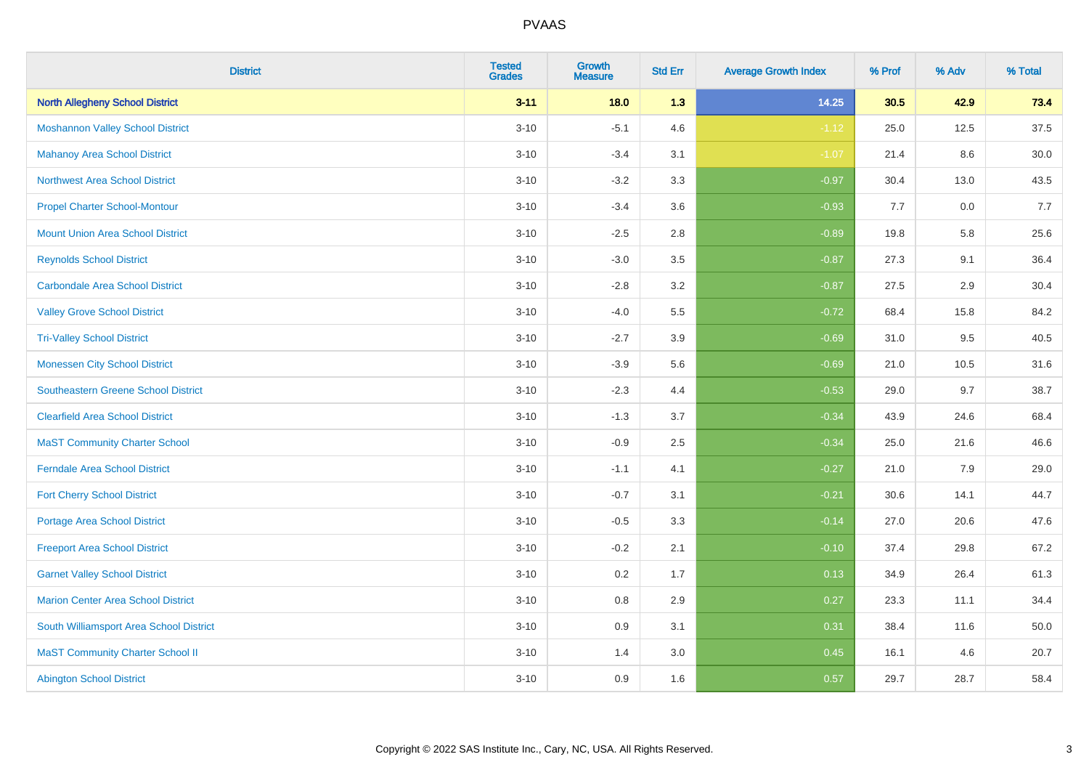| <b>District</b>                            | <b>Tested</b><br><b>Grades</b> | <b>Growth</b><br><b>Measure</b> | <b>Std Err</b> | <b>Average Growth Index</b> | % Prof | % Adv | % Total |
|--------------------------------------------|--------------------------------|---------------------------------|----------------|-----------------------------|--------|-------|---------|
| <b>North Allegheny School District</b>     | $3 - 11$                       | 18.0                            | 1.3            | 14.25                       | 30.5   | 42.9  | 73.4    |
| <b>Moshannon Valley School District</b>    | $3 - 10$                       | $-5.1$                          | 4.6            | $-1.12$                     | 25.0   | 12.5  | 37.5    |
| <b>Mahanoy Area School District</b>        | $3 - 10$                       | $-3.4$                          | 3.1            | $-1.07$                     | 21.4   | 8.6   | 30.0    |
| <b>Northwest Area School District</b>      | $3 - 10$                       | $-3.2$                          | 3.3            | $-0.97$                     | 30.4   | 13.0  | 43.5    |
| <b>Propel Charter School-Montour</b>       | $3 - 10$                       | $-3.4$                          | 3.6            | $-0.93$                     | 7.7    | 0.0   | 7.7     |
| <b>Mount Union Area School District</b>    | $3 - 10$                       | $-2.5$                          | 2.8            | $-0.89$                     | 19.8   | 5.8   | 25.6    |
| <b>Reynolds School District</b>            | $3 - 10$                       | $-3.0$                          | 3.5            | $-0.87$                     | 27.3   | 9.1   | 36.4    |
| <b>Carbondale Area School District</b>     | $3 - 10$                       | $-2.8$                          | 3.2            | $-0.87$                     | 27.5   | 2.9   | 30.4    |
| <b>Valley Grove School District</b>        | $3 - 10$                       | $-4.0$                          | 5.5            | $-0.72$                     | 68.4   | 15.8  | 84.2    |
| <b>Tri-Valley School District</b>          | $3 - 10$                       | $-2.7$                          | 3.9            | $-0.69$                     | 31.0   | 9.5   | 40.5    |
| <b>Monessen City School District</b>       | $3 - 10$                       | $-3.9$                          | 5.6            | $-0.69$                     | 21.0   | 10.5  | 31.6    |
| <b>Southeastern Greene School District</b> | $3 - 10$                       | $-2.3$                          | 4.4            | $-0.53$                     | 29.0   | 9.7   | 38.7    |
| <b>Clearfield Area School District</b>     | $3 - 10$                       | $-1.3$                          | 3.7            | $-0.34$                     | 43.9   | 24.6  | 68.4    |
| <b>MaST Community Charter School</b>       | $3 - 10$                       | $-0.9$                          | 2.5            | $-0.34$                     | 25.0   | 21.6  | 46.6    |
| <b>Ferndale Area School District</b>       | $3 - 10$                       | $-1.1$                          | 4.1            | $-0.27$                     | 21.0   | 7.9   | 29.0    |
| <b>Fort Cherry School District</b>         | $3 - 10$                       | $-0.7$                          | 3.1            | $-0.21$                     | 30.6   | 14.1  | 44.7    |
| <b>Portage Area School District</b>        | $3 - 10$                       | $-0.5$                          | 3.3            | $-0.14$                     | 27.0   | 20.6  | 47.6    |
| <b>Freeport Area School District</b>       | $3 - 10$                       | $-0.2$                          | 2.1            | $-0.10$                     | 37.4   | 29.8  | 67.2    |
| <b>Garnet Valley School District</b>       | $3 - 10$                       | 0.2                             | 1.7            | 0.13                        | 34.9   | 26.4  | 61.3    |
| Marion Center Area School District         | $3 - 10$                       | $0.8\,$                         | 2.9            | 0.27                        | 23.3   | 11.1  | 34.4    |
| South Williamsport Area School District    | $3 - 10$                       | 0.9                             | 3.1            | 0.31                        | 38.4   | 11.6  | 50.0    |
| <b>MaST Community Charter School II</b>    | $3 - 10$                       | 1.4                             | 3.0            | 0.45                        | 16.1   | 4.6   | 20.7    |
| <b>Abington School District</b>            | $3 - 10$                       | 0.9                             | 1.6            | 0.57                        | 29.7   | 28.7  | 58.4    |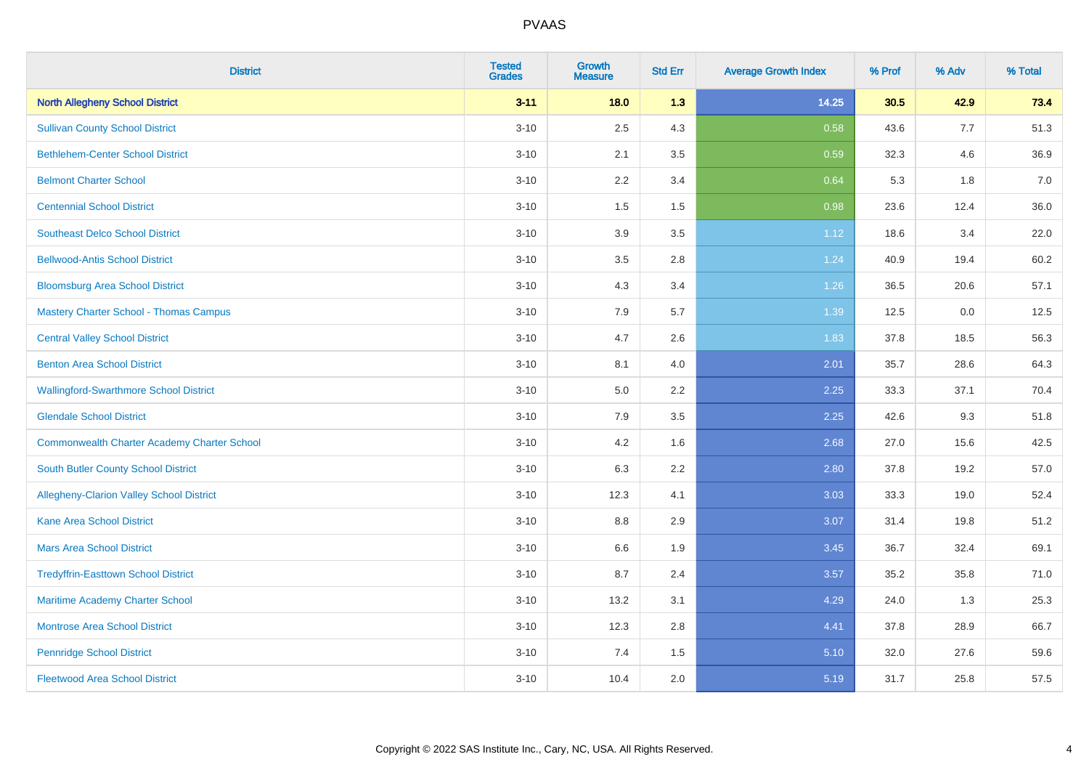| <b>District</b>                                    | <b>Tested</b><br><b>Grades</b> | <b>Growth</b><br><b>Measure</b> | <b>Std Err</b> | <b>Average Growth Index</b> | % Prof | % Adv | % Total |
|----------------------------------------------------|--------------------------------|---------------------------------|----------------|-----------------------------|--------|-------|---------|
| <b>North Allegheny School District</b>             | $3 - 11$                       | 18.0                            | 1.3            | 14.25                       | 30.5   | 42.9  | 73.4    |
| <b>Sullivan County School District</b>             | $3 - 10$                       | 2.5                             | 4.3            | 0.58                        | 43.6   | 7.7   | 51.3    |
| <b>Bethlehem-Center School District</b>            | $3 - 10$                       | 2.1                             | 3.5            | 0.59                        | 32.3   | 4.6   | 36.9    |
| <b>Belmont Charter School</b>                      | $3 - 10$                       | 2.2                             | 3.4            | 0.64                        | 5.3    | 1.8   | 7.0     |
| <b>Centennial School District</b>                  | $3 - 10$                       | 1.5                             | 1.5            | 0.98                        | 23.6   | 12.4  | 36.0    |
| <b>Southeast Delco School District</b>             | $3 - 10$                       | 3.9                             | 3.5            | 1.12                        | 18.6   | 3.4   | 22.0    |
| <b>Bellwood-Antis School District</b>              | $3 - 10$                       | 3.5                             | 2.8            | 1.24                        | 40.9   | 19.4  | 60.2    |
| <b>Bloomsburg Area School District</b>             | $3 - 10$                       | 4.3                             | 3.4            | 1.26                        | 36.5   | 20.6  | 57.1    |
| <b>Mastery Charter School - Thomas Campus</b>      | $3 - 10$                       | 7.9                             | 5.7            | 1.39                        | 12.5   | 0.0   | 12.5    |
| <b>Central Valley School District</b>              | $3 - 10$                       | 4.7                             | 2.6            | 1.83                        | 37.8   | 18.5  | 56.3    |
| <b>Benton Area School District</b>                 | $3 - 10$                       | 8.1                             | 4.0            | 2.01                        | 35.7   | 28.6  | 64.3    |
| <b>Wallingford-Swarthmore School District</b>      | $3 - 10$                       | 5.0                             | 2.2            | 2.25                        | 33.3   | 37.1  | 70.4    |
| <b>Glendale School District</b>                    | $3 - 10$                       | 7.9                             | 3.5            | 2.25                        | 42.6   | 9.3   | 51.8    |
| <b>Commonwealth Charter Academy Charter School</b> | $3 - 10$                       | 4.2                             | 1.6            | 2.68                        | 27.0   | 15.6  | 42.5    |
| South Butler County School District                | $3 - 10$                       | 6.3                             | 2.2            | 2.80                        | 37.8   | 19.2  | 57.0    |
| Allegheny-Clarion Valley School District           | $3 - 10$                       | 12.3                            | 4.1            | 3.03                        | 33.3   | 19.0  | 52.4    |
| <b>Kane Area School District</b>                   | $3 - 10$                       | 8.8                             | 2.9            | 3.07                        | 31.4   | 19.8  | 51.2    |
| <b>Mars Area School District</b>                   | $3 - 10$                       | 6.6                             | 1.9            | 3.45                        | 36.7   | 32.4  | 69.1    |
| <b>Tredyffrin-Easttown School District</b>         | $3 - 10$                       | 8.7                             | 2.4            | 3.57                        | 35.2   | 35.8  | 71.0    |
| Maritime Academy Charter School                    | $3 - 10$                       | 13.2                            | 3.1            | 4.29                        | 24.0   | 1.3   | 25.3    |
| <b>Montrose Area School District</b>               | $3 - 10$                       | 12.3                            | 2.8            | 4.41                        | 37.8   | 28.9  | 66.7    |
| <b>Pennridge School District</b>                   | $3 - 10$                       | 7.4                             | 1.5            | 5.10                        | 32.0   | 27.6  | 59.6    |
| <b>Fleetwood Area School District</b>              | $3 - 10$                       | 10.4                            | 2.0            | 5.19                        | 31.7   | 25.8  | 57.5    |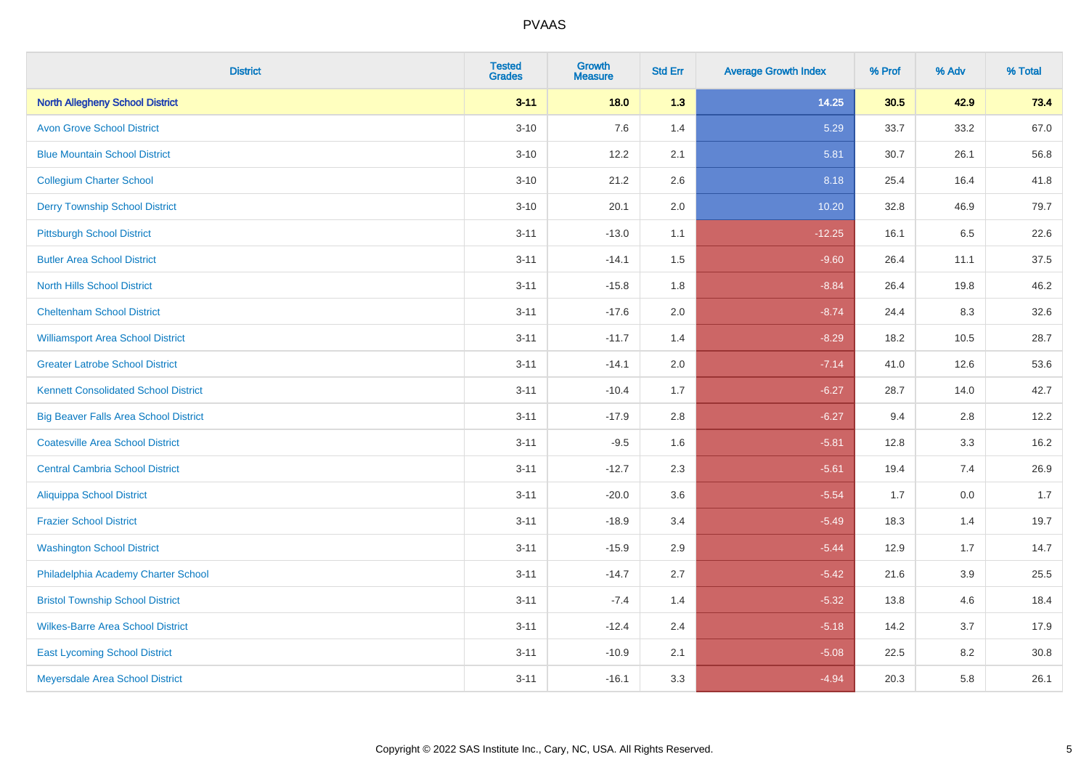| <b>District</b>                              | <b>Tested</b><br><b>Grades</b> | <b>Growth</b><br><b>Measure</b> | <b>Std Err</b> | <b>Average Growth Index</b> | % Prof | % Adv | % Total |
|----------------------------------------------|--------------------------------|---------------------------------|----------------|-----------------------------|--------|-------|---------|
| <b>North Allegheny School District</b>       | $3 - 11$                       | 18.0                            | 1.3            | 14.25                       | 30.5   | 42.9  | 73.4    |
| <b>Avon Grove School District</b>            | $3 - 10$                       | 7.6                             | 1.4            | 5.29                        | 33.7   | 33.2  | 67.0    |
| <b>Blue Mountain School District</b>         | $3 - 10$                       | 12.2                            | 2.1            | 5.81                        | 30.7   | 26.1  | 56.8    |
| <b>Collegium Charter School</b>              | $3 - 10$                       | 21.2                            | 2.6            | 8.18                        | 25.4   | 16.4  | 41.8    |
| <b>Derry Township School District</b>        | $3 - 10$                       | 20.1                            | 2.0            | 10.20                       | 32.8   | 46.9  | 79.7    |
| <b>Pittsburgh School District</b>            | $3 - 11$                       | $-13.0$                         | 1.1            | $-12.25$                    | 16.1   | 6.5   | 22.6    |
| <b>Butler Area School District</b>           | $3 - 11$                       | $-14.1$                         | 1.5            | $-9.60$                     | 26.4   | 11.1  | 37.5    |
| <b>North Hills School District</b>           | $3 - 11$                       | $-15.8$                         | 1.8            | $-8.84$                     | 26.4   | 19.8  | 46.2    |
| <b>Cheltenham School District</b>            | $3 - 11$                       | $-17.6$                         | 2.0            | $-8.74$                     | 24.4   | 8.3   | 32.6    |
| <b>Williamsport Area School District</b>     | $3 - 11$                       | $-11.7$                         | 1.4            | $-8.29$                     | 18.2   | 10.5  | 28.7    |
| <b>Greater Latrobe School District</b>       | $3 - 11$                       | $-14.1$                         | 2.0            | $-7.14$                     | 41.0   | 12.6  | 53.6    |
| <b>Kennett Consolidated School District</b>  | $3 - 11$                       | $-10.4$                         | 1.7            | $-6.27$                     | 28.7   | 14.0  | 42.7    |
| <b>Big Beaver Falls Area School District</b> | $3 - 11$                       | $-17.9$                         | 2.8            | $-6.27$                     | 9.4    | 2.8   | 12.2    |
| <b>Coatesville Area School District</b>      | $3 - 11$                       | $-9.5$                          | 1.6            | $-5.81$                     | 12.8   | 3.3   | 16.2    |
| <b>Central Cambria School District</b>       | $3 - 11$                       | $-12.7$                         | 2.3            | $-5.61$                     | 19.4   | 7.4   | 26.9    |
| <b>Aliquippa School District</b>             | $3 - 11$                       | $-20.0$                         | 3.6            | $-5.54$                     | 1.7    | 0.0   | 1.7     |
| <b>Frazier School District</b>               | $3 - 11$                       | $-18.9$                         | 3.4            | $-5.49$                     | 18.3   | 1.4   | 19.7    |
| <b>Washington School District</b>            | $3 - 11$                       | $-15.9$                         | 2.9            | $-5.44$                     | 12.9   | 1.7   | 14.7    |
| Philadelphia Academy Charter School          | $3 - 11$                       | $-14.7$                         | 2.7            | $-5.42$                     | 21.6   | 3.9   | 25.5    |
| <b>Bristol Township School District</b>      | $3 - 11$                       | $-7.4$                          | 1.4            | $-5.32$                     | 13.8   | 4.6   | 18.4    |
| <b>Wilkes-Barre Area School District</b>     | $3 - 11$                       | $-12.4$                         | 2.4            | $-5.18$                     | 14.2   | 3.7   | 17.9    |
| <b>East Lycoming School District</b>         | $3 - 11$                       | $-10.9$                         | 2.1            | $-5.08$                     | 22.5   | 8.2   | 30.8    |
| Meyersdale Area School District              | $3 - 11$                       | $-16.1$                         | 3.3            | $-4.94$                     | 20.3   | 5.8   | 26.1    |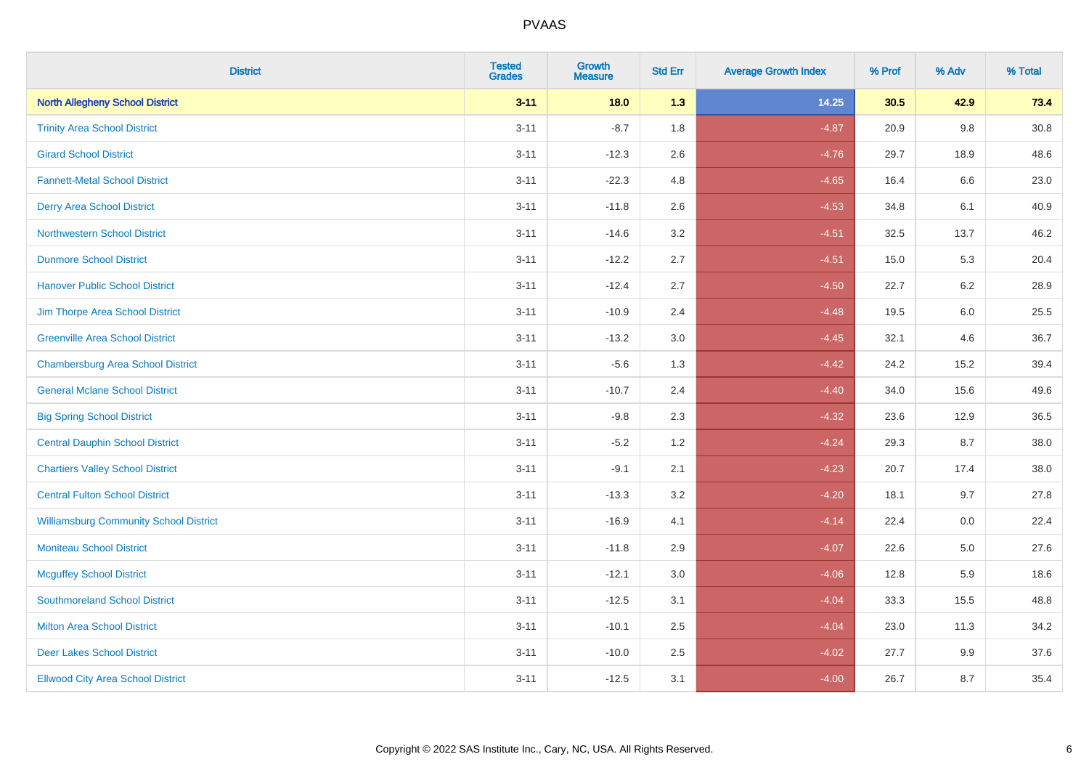| <b>District</b>                               | <b>Tested</b><br><b>Grades</b> | <b>Growth</b><br><b>Measure</b> | <b>Std Err</b> | <b>Average Growth Index</b> | % Prof | % Adv   | % Total  |
|-----------------------------------------------|--------------------------------|---------------------------------|----------------|-----------------------------|--------|---------|----------|
| <b>North Allegheny School District</b>        | $3 - 11$                       | 18.0                            | 1.3            | 14.25                       | 30.5   | 42.9    | 73.4     |
| <b>Trinity Area School District</b>           | $3 - 11$                       | $-8.7$                          | 1.8            | $-4.87$                     | 20.9   | $9.8\,$ | $30.8\,$ |
| <b>Girard School District</b>                 | $3 - 11$                       | $-12.3$                         | 2.6            | $-4.76$                     | 29.7   | 18.9    | 48.6     |
| <b>Fannett-Metal School District</b>          | $3 - 11$                       | $-22.3$                         | 4.8            | $-4.65$                     | 16.4   | 6.6     | 23.0     |
| <b>Derry Area School District</b>             | $3 - 11$                       | $-11.8$                         | 2.6            | $-4.53$                     | 34.8   | 6.1     | 40.9     |
| <b>Northwestern School District</b>           | $3 - 11$                       | $-14.6$                         | 3.2            | $-4.51$                     | 32.5   | 13.7    | 46.2     |
| <b>Dunmore School District</b>                | $3 - 11$                       | $-12.2$                         | 2.7            | $-4.51$                     | 15.0   | 5.3     | 20.4     |
| <b>Hanover Public School District</b>         | $3 - 11$                       | $-12.4$                         | 2.7            | $-4.50$                     | 22.7   | 6.2     | 28.9     |
| Jim Thorpe Area School District               | $3 - 11$                       | $-10.9$                         | 2.4            | $-4.48$                     | 19.5   | 6.0     | 25.5     |
| <b>Greenville Area School District</b>        | $3 - 11$                       | $-13.2$                         | 3.0            | $-4.45$                     | 32.1   | 4.6     | 36.7     |
| <b>Chambersburg Area School District</b>      | $3 - 11$                       | $-5.6$                          | 1.3            | $-4.42$                     | 24.2   | 15.2    | 39.4     |
| <b>General Mclane School District</b>         | $3 - 11$                       | $-10.7$                         | 2.4            | $-4.40$                     | 34.0   | 15.6    | 49.6     |
| <b>Big Spring School District</b>             | $3 - 11$                       | $-9.8$                          | 2.3            | $-4.32$                     | 23.6   | 12.9    | 36.5     |
| <b>Central Dauphin School District</b>        | $3 - 11$                       | $-5.2$                          | 1.2            | $-4.24$                     | 29.3   | 8.7     | 38.0     |
| <b>Chartiers Valley School District</b>       | $3 - 11$                       | $-9.1$                          | 2.1            | $-4.23$                     | 20.7   | 17.4    | 38.0     |
| <b>Central Fulton School District</b>         | $3 - 11$                       | $-13.3$                         | 3.2            | $-4.20$                     | 18.1   | 9.7     | 27.8     |
| <b>Williamsburg Community School District</b> | $3 - 11$                       | $-16.9$                         | 4.1            | $-4.14$                     | 22.4   | 0.0     | 22.4     |
| <b>Moniteau School District</b>               | $3 - 11$                       | $-11.8$                         | 2.9            | $-4.07$                     | 22.6   | 5.0     | 27.6     |
| <b>Mcguffey School District</b>               | $3 - 11$                       | $-12.1$                         | 3.0            | $-4.06$                     | 12.8   | 5.9     | 18.6     |
| <b>Southmoreland School District</b>          | $3 - 11$                       | $-12.5$                         | 3.1            | $-4.04$                     | 33.3   | 15.5    | 48.8     |
| <b>Milton Area School District</b>            | $3 - 11$                       | $-10.1$                         | 2.5            | $-4.04$                     | 23.0   | 11.3    | 34.2     |
| <b>Deer Lakes School District</b>             | $3 - 11$                       | $-10.0$                         | 2.5            | $-4.02$                     | 27.7   | 9.9     | 37.6     |
| <b>Ellwood City Area School District</b>      | $3 - 11$                       | $-12.5$                         | 3.1            | $-4.00$                     | 26.7   | 8.7     | 35.4     |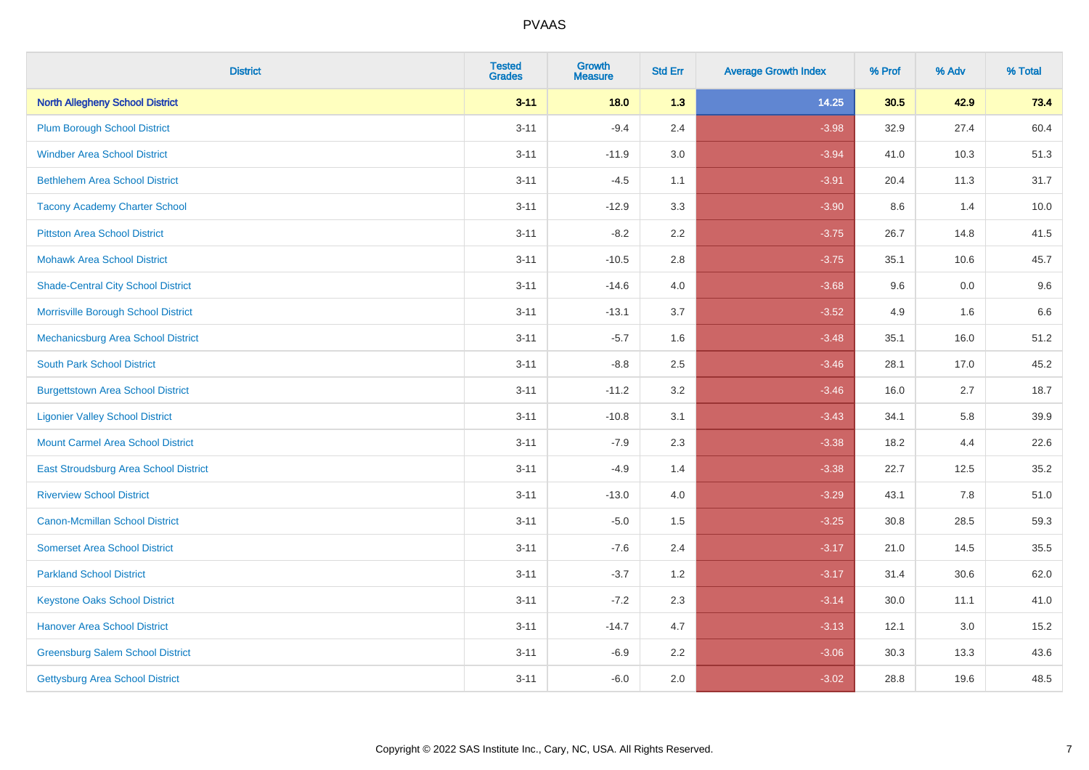| <b>District</b>                           | <b>Tested</b><br><b>Grades</b> | <b>Growth</b><br><b>Measure</b> | <b>Std Err</b> | <b>Average Growth Index</b> | % Prof | % Adv | % Total |
|-------------------------------------------|--------------------------------|---------------------------------|----------------|-----------------------------|--------|-------|---------|
| <b>North Allegheny School District</b>    | $3 - 11$                       | 18.0                            | 1.3            | 14.25                       | 30.5   | 42.9  | 73.4    |
| <b>Plum Borough School District</b>       | $3 - 11$                       | $-9.4$                          | 2.4            | $-3.98$                     | 32.9   | 27.4  | 60.4    |
| <b>Windber Area School District</b>       | $3 - 11$                       | $-11.9$                         | 3.0            | $-3.94$                     | 41.0   | 10.3  | 51.3    |
| <b>Bethlehem Area School District</b>     | $3 - 11$                       | $-4.5$                          | 1.1            | $-3.91$                     | 20.4   | 11.3  | 31.7    |
| <b>Tacony Academy Charter School</b>      | $3 - 11$                       | $-12.9$                         | 3.3            | $-3.90$                     | 8.6    | 1.4   | 10.0    |
| <b>Pittston Area School District</b>      | $3 - 11$                       | $-8.2$                          | 2.2            | $-3.75$                     | 26.7   | 14.8  | 41.5    |
| <b>Mohawk Area School District</b>        | $3 - 11$                       | $-10.5$                         | $2.8\,$        | $-3.75$                     | 35.1   | 10.6  | 45.7    |
| <b>Shade-Central City School District</b> | $3 - 11$                       | $-14.6$                         | 4.0            | $-3.68$                     | 9.6    | 0.0   | 9.6     |
| Morrisville Borough School District       | $3 - 11$                       | $-13.1$                         | 3.7            | $-3.52$                     | 4.9    | 1.6   | 6.6     |
| Mechanicsburg Area School District        | $3 - 11$                       | $-5.7$                          | 1.6            | $-3.48$                     | 35.1   | 16.0  | 51.2    |
| <b>South Park School District</b>         | $3 - 11$                       | $-8.8$                          | 2.5            | $-3.46$                     | 28.1   | 17.0  | 45.2    |
| <b>Burgettstown Area School District</b>  | $3 - 11$                       | $-11.2$                         | 3.2            | $-3.46$                     | 16.0   | 2.7   | 18.7    |
| <b>Ligonier Valley School District</b>    | $3 - 11$                       | $-10.8$                         | 3.1            | $-3.43$                     | 34.1   | 5.8   | 39.9    |
| <b>Mount Carmel Area School District</b>  | $3 - 11$                       | $-7.9$                          | 2.3            | $-3.38$                     | 18.2   | 4.4   | 22.6    |
| East Stroudsburg Area School District     | $3 - 11$                       | $-4.9$                          | 1.4            | $-3.38$                     | 22.7   | 12.5  | 35.2    |
| <b>Riverview School District</b>          | $3 - 11$                       | $-13.0$                         | 4.0            | $-3.29$                     | 43.1   | 7.8   | 51.0    |
| <b>Canon-Mcmillan School District</b>     | $3 - 11$                       | $-5.0$                          | 1.5            | $-3.25$                     | 30.8   | 28.5  | 59.3    |
| <b>Somerset Area School District</b>      | $3 - 11$                       | $-7.6$                          | 2.4            | $-3.17$                     | 21.0   | 14.5  | 35.5    |
| <b>Parkland School District</b>           | $3 - 11$                       | $-3.7$                          | 1.2            | $-3.17$                     | 31.4   | 30.6  | 62.0    |
| <b>Keystone Oaks School District</b>      | $3 - 11$                       | $-7.2$                          | 2.3            | $-3.14$                     | 30.0   | 11.1  | 41.0    |
| <b>Hanover Area School District</b>       | $3 - 11$                       | $-14.7$                         | 4.7            | $-3.13$                     | 12.1   | 3.0   | 15.2    |
| <b>Greensburg Salem School District</b>   | $3 - 11$                       | $-6.9$                          | 2.2            | $-3.06$                     | 30.3   | 13.3  | 43.6    |
| Gettysburg Area School District           | $3 - 11$                       | $-6.0$                          | 2.0            | $-3.02$                     | 28.8   | 19.6  | 48.5    |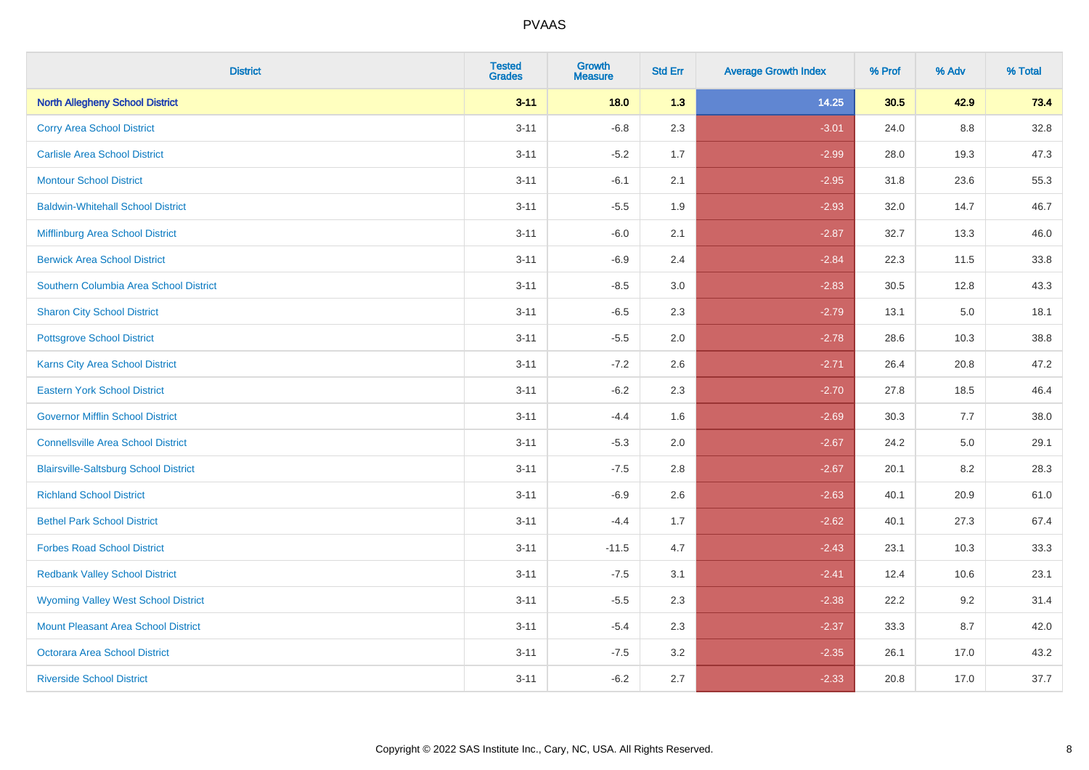| <b>District</b>                              | <b>Tested</b><br><b>Grades</b> | <b>Growth</b><br><b>Measure</b> | <b>Std Err</b> | <b>Average Growth Index</b> | % Prof | % Adv   | % Total |
|----------------------------------------------|--------------------------------|---------------------------------|----------------|-----------------------------|--------|---------|---------|
| <b>North Allegheny School District</b>       | $3 - 11$                       | 18.0                            | 1.3            | 14.25                       | 30.5   | 42.9    | 73.4    |
| <b>Corry Area School District</b>            | $3 - 11$                       | $-6.8$                          | 2.3            | $-3.01$                     | 24.0   | $8.8\,$ | 32.8    |
| <b>Carlisle Area School District</b>         | $3 - 11$                       | $-5.2$                          | 1.7            | $-2.99$                     | 28.0   | 19.3    | 47.3    |
| <b>Montour School District</b>               | $3 - 11$                       | $-6.1$                          | 2.1            | $-2.95$                     | 31.8   | 23.6    | 55.3    |
| <b>Baldwin-Whitehall School District</b>     | $3 - 11$                       | $-5.5$                          | 1.9            | $-2.93$                     | 32.0   | 14.7    | 46.7    |
| Mifflinburg Area School District             | $3 - 11$                       | $-6.0$                          | 2.1            | $-2.87$                     | 32.7   | 13.3    | 46.0    |
| <b>Berwick Area School District</b>          | $3 - 11$                       | $-6.9$                          | 2.4            | $-2.84$                     | 22.3   | 11.5    | 33.8    |
| Southern Columbia Area School District       | $3 - 11$                       | $-8.5$                          | 3.0            | $-2.83$                     | 30.5   | 12.8    | 43.3    |
| <b>Sharon City School District</b>           | $3 - 11$                       | $-6.5$                          | 2.3            | $-2.79$                     | 13.1   | 5.0     | 18.1    |
| <b>Pottsgrove School District</b>            | $3 - 11$                       | $-5.5$                          | 2.0            | $-2.78$                     | 28.6   | 10.3    | 38.8    |
| <b>Karns City Area School District</b>       | $3 - 11$                       | $-7.2$                          | 2.6            | $-2.71$                     | 26.4   | 20.8    | 47.2    |
| <b>Eastern York School District</b>          | $3 - 11$                       | $-6.2$                          | 2.3            | $-2.70$                     | 27.8   | 18.5    | 46.4    |
| <b>Governor Mifflin School District</b>      | $3 - 11$                       | $-4.4$                          | 1.6            | $-2.69$                     | 30.3   | 7.7     | 38.0    |
| <b>Connellsville Area School District</b>    | $3 - 11$                       | $-5.3$                          | 2.0            | $-2.67$                     | 24.2   | 5.0     | 29.1    |
| <b>Blairsville-Saltsburg School District</b> | $3 - 11$                       | $-7.5$                          | 2.8            | $-2.67$                     | 20.1   | 8.2     | 28.3    |
| <b>Richland School District</b>              | $3 - 11$                       | $-6.9$                          | 2.6            | $-2.63$                     | 40.1   | 20.9    | 61.0    |
| <b>Bethel Park School District</b>           | $3 - 11$                       | $-4.4$                          | 1.7            | $-2.62$                     | 40.1   | 27.3    | 67.4    |
| <b>Forbes Road School District</b>           | $3 - 11$                       | $-11.5$                         | 4.7            | $-2.43$                     | 23.1   | 10.3    | 33.3    |
| <b>Redbank Valley School District</b>        | $3 - 11$                       | $-7.5$                          | 3.1            | $-2.41$                     | 12.4   | 10.6    | 23.1    |
| <b>Wyoming Valley West School District</b>   | $3 - 11$                       | $-5.5$                          | 2.3            | $-2.38$                     | 22.2   | 9.2     | 31.4    |
| <b>Mount Pleasant Area School District</b>   | $3 - 11$                       | $-5.4$                          | 2.3            | $-2.37$                     | 33.3   | 8.7     | 42.0    |
| <b>Octorara Area School District</b>         | $3 - 11$                       | $-7.5$                          | 3.2            | $-2.35$                     | 26.1   | 17.0    | 43.2    |
| <b>Riverside School District</b>             | $3 - 11$                       | $-6.2$                          | 2.7            | $-2.33$                     | 20.8   | 17.0    | 37.7    |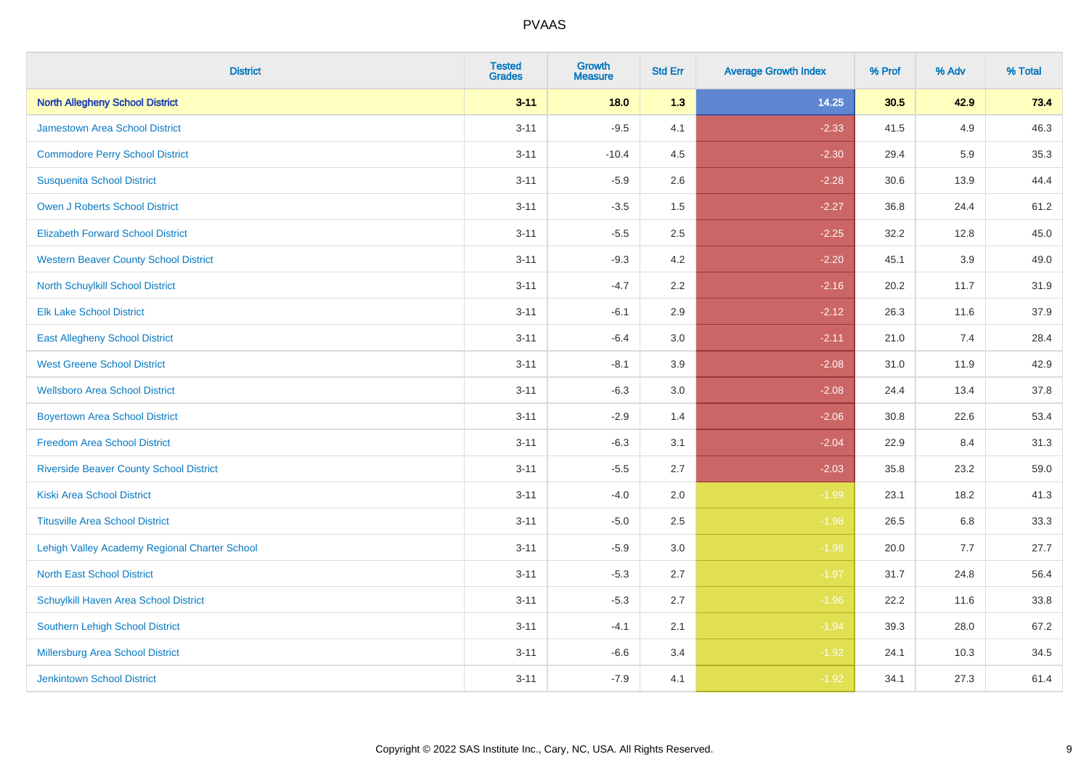| <b>District</b>                                | <b>Tested</b><br><b>Grades</b> | <b>Growth</b><br><b>Measure</b> | <b>Std Err</b> | <b>Average Growth Index</b> | % Prof | % Adv | % Total |
|------------------------------------------------|--------------------------------|---------------------------------|----------------|-----------------------------|--------|-------|---------|
| <b>North Allegheny School District</b>         | $3 - 11$                       | 18.0                            | 1.3            | 14.25                       | 30.5   | 42.9  | 73.4    |
| <b>Jamestown Area School District</b>          | $3 - 11$                       | $-9.5$                          | 4.1            | $-2.33$                     | 41.5   | 4.9   | 46.3    |
| <b>Commodore Perry School District</b>         | $3 - 11$                       | $-10.4$                         | 4.5            | $-2.30$                     | 29.4   | 5.9   | 35.3    |
| <b>Susquenita School District</b>              | $3 - 11$                       | $-5.9$                          | 2.6            | $-2.28$                     | 30.6   | 13.9  | 44.4    |
| <b>Owen J Roberts School District</b>          | $3 - 11$                       | $-3.5$                          | 1.5            | $-2.27$                     | 36.8   | 24.4  | 61.2    |
| <b>Elizabeth Forward School District</b>       | $3 - 11$                       | $-5.5$                          | 2.5            | $-2.25$                     | 32.2   | 12.8  | 45.0    |
| <b>Western Beaver County School District</b>   | $3 - 11$                       | $-9.3$                          | 4.2            | $-2.20$                     | 45.1   | 3.9   | 49.0    |
| <b>North Schuylkill School District</b>        | $3 - 11$                       | $-4.7$                          | 2.2            | $-2.16$                     | 20.2   | 11.7  | 31.9    |
| <b>Elk Lake School District</b>                | $3 - 11$                       | $-6.1$                          | 2.9            | $-2.12$                     | 26.3   | 11.6  | 37.9    |
| <b>East Allegheny School District</b>          | $3 - 11$                       | $-6.4$                          | 3.0            | $-2.11$                     | 21.0   | 7.4   | 28.4    |
| <b>West Greene School District</b>             | $3 - 11$                       | $-8.1$                          | 3.9            | $-2.08$                     | 31.0   | 11.9  | 42.9    |
| <b>Wellsboro Area School District</b>          | $3 - 11$                       | $-6.3$                          | 3.0            | $-2.08$                     | 24.4   | 13.4  | 37.8    |
| <b>Boyertown Area School District</b>          | $3 - 11$                       | $-2.9$                          | 1.4            | $-2.06$                     | 30.8   | 22.6  | 53.4    |
| <b>Freedom Area School District</b>            | $3 - 11$                       | $-6.3$                          | 3.1            | $-2.04$                     | 22.9   | 8.4   | 31.3    |
| <b>Riverside Beaver County School District</b> | $3 - 11$                       | $-5.5$                          | 2.7            | $-2.03$                     | 35.8   | 23.2  | 59.0    |
| <b>Kiski Area School District</b>              | $3 - 11$                       | $-4.0$                          | 2.0            | $-1.99$                     | 23.1   | 18.2  | 41.3    |
| <b>Titusville Area School District</b>         | $3 - 11$                       | $-5.0$                          | 2.5            | $-1.98$                     | 26.5   | 6.8   | 33.3    |
| Lehigh Valley Academy Regional Charter School  | $3 - 11$                       | $-5.9$                          | 3.0            | $-1.98$                     | 20.0   | 7.7   | 27.7    |
| <b>North East School District</b>              | $3 - 11$                       | $-5.3$                          | 2.7            | $-1.97$                     | 31.7   | 24.8  | 56.4    |
| Schuylkill Haven Area School District          | $3 - 11$                       | $-5.3$                          | 2.7            | $-1.96$                     | 22.2   | 11.6  | 33.8    |
| Southern Lehigh School District                | $3 - 11$                       | $-4.1$                          | 2.1            | $-1.94$                     | 39.3   | 28.0  | 67.2    |
| Millersburg Area School District               | $3 - 11$                       | $-6.6$                          | 3.4            | $-1.92$                     | 24.1   | 10.3  | 34.5    |
| <b>Jenkintown School District</b>              | $3 - 11$                       | $-7.9$                          | 4.1            | $-1.92$                     | 34.1   | 27.3  | 61.4    |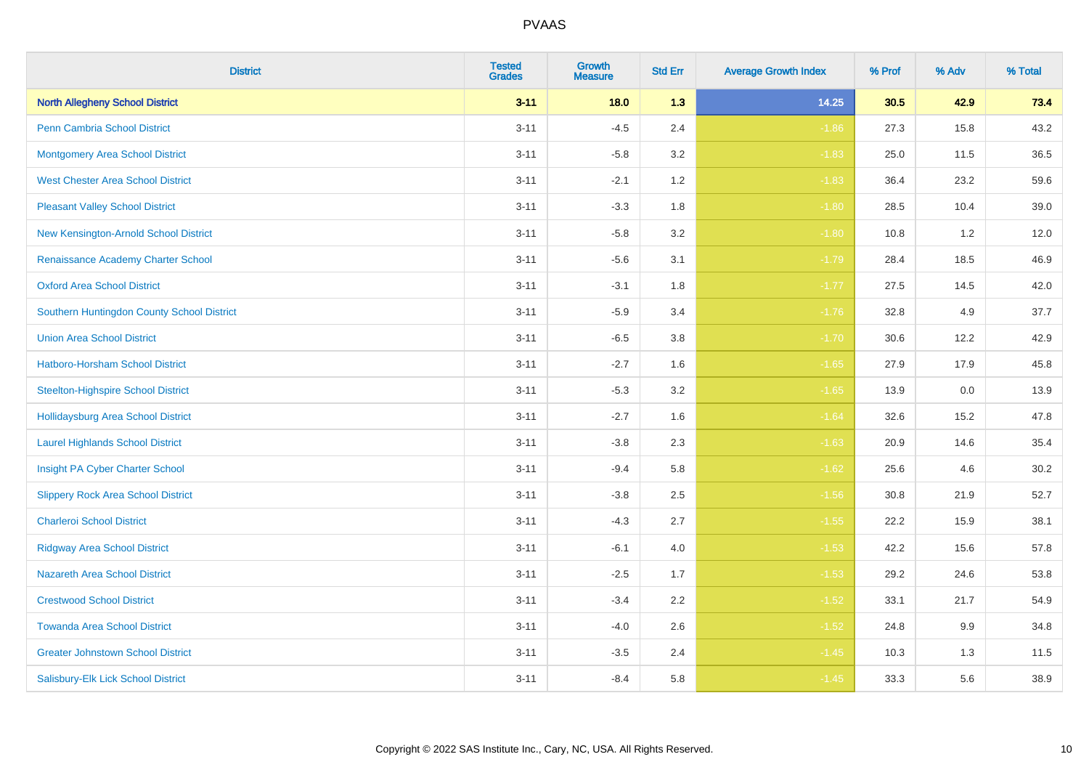| <b>District</b>                            | <b>Tested</b><br><b>Grades</b> | <b>Growth</b><br><b>Measure</b> | <b>Std Err</b> | <b>Average Growth Index</b> | % Prof | % Adv | % Total |
|--------------------------------------------|--------------------------------|---------------------------------|----------------|-----------------------------|--------|-------|---------|
| <b>North Allegheny School District</b>     | $3 - 11$                       | 18.0                            | 1.3            | 14.25                       | 30.5   | 42.9  | 73.4    |
| <b>Penn Cambria School District</b>        | $3 - 11$                       | $-4.5$                          | 2.4            | $-1.86$                     | 27.3   | 15.8  | 43.2    |
| <b>Montgomery Area School District</b>     | $3 - 11$                       | $-5.8$                          | 3.2            | $-1.83$                     | 25.0   | 11.5  | 36.5    |
| <b>West Chester Area School District</b>   | $3 - 11$                       | $-2.1$                          | 1.2            | $-1.83$                     | 36.4   | 23.2  | 59.6    |
| <b>Pleasant Valley School District</b>     | $3 - 11$                       | $-3.3$                          | 1.8            | $-1.80$                     | 28.5   | 10.4  | 39.0    |
| New Kensington-Arnold School District      | $3 - 11$                       | $-5.8$                          | 3.2            | $-1.80$                     | 10.8   | 1.2   | 12.0    |
| Renaissance Academy Charter School         | $3 - 11$                       | $-5.6$                          | 3.1            | $-1.79$                     | 28.4   | 18.5  | 46.9    |
| <b>Oxford Area School District</b>         | $3 - 11$                       | $-3.1$                          | 1.8            | $-1.77$                     | 27.5   | 14.5  | 42.0    |
| Southern Huntingdon County School District | $3 - 11$                       | $-5.9$                          | 3.4            | $-1.76$                     | 32.8   | 4.9   | 37.7    |
| <b>Union Area School District</b>          | $3 - 11$                       | $-6.5$                          | 3.8            | $-1.70$                     | 30.6   | 12.2  | 42.9    |
| Hatboro-Horsham School District            | $3 - 11$                       | $-2.7$                          | 1.6            | $-1.65$                     | 27.9   | 17.9  | 45.8    |
| <b>Steelton-Highspire School District</b>  | $3 - 11$                       | $-5.3$                          | 3.2            | $-1.65$                     | 13.9   | 0.0   | 13.9    |
| Hollidaysburg Area School District         | $3 - 11$                       | $-2.7$                          | 1.6            | $-1.64$                     | 32.6   | 15.2  | 47.8    |
| <b>Laurel Highlands School District</b>    | $3 - 11$                       | $-3.8$                          | 2.3            | $-1.63$                     | 20.9   | 14.6  | 35.4    |
| Insight PA Cyber Charter School            | $3 - 11$                       | $-9.4$                          | 5.8            | $-1.62$                     | 25.6   | 4.6   | 30.2    |
| <b>Slippery Rock Area School District</b>  | $3 - 11$                       | $-3.8$                          | 2.5            | $-1.56$                     | 30.8   | 21.9  | 52.7    |
| <b>Charleroi School District</b>           | $3 - 11$                       | $-4.3$                          | 2.7            | $-1.55$                     | 22.2   | 15.9  | 38.1    |
| <b>Ridgway Area School District</b>        | $3 - 11$                       | $-6.1$                          | 4.0            | $-1.53$                     | 42.2   | 15.6  | 57.8    |
| <b>Nazareth Area School District</b>       | $3 - 11$                       | $-2.5$                          | 1.7            | $-1.53$                     | 29.2   | 24.6  | 53.8    |
| <b>Crestwood School District</b>           | $3 - 11$                       | $-3.4$                          | 2.2            | $-1.52$                     | 33.1   | 21.7  | 54.9    |
| <b>Towanda Area School District</b>        | $3 - 11$                       | $-4.0$                          | 2.6            | $-1.52$                     | 24.8   | 9.9   | 34.8    |
| <b>Greater Johnstown School District</b>   | $3 - 11$                       | $-3.5$                          | 2.4            | $-1.45$                     | 10.3   | 1.3   | 11.5    |
| Salisbury-Elk Lick School District         | $3 - 11$                       | $-8.4$                          | 5.8            | $-1.45$                     | 33.3   | 5.6   | 38.9    |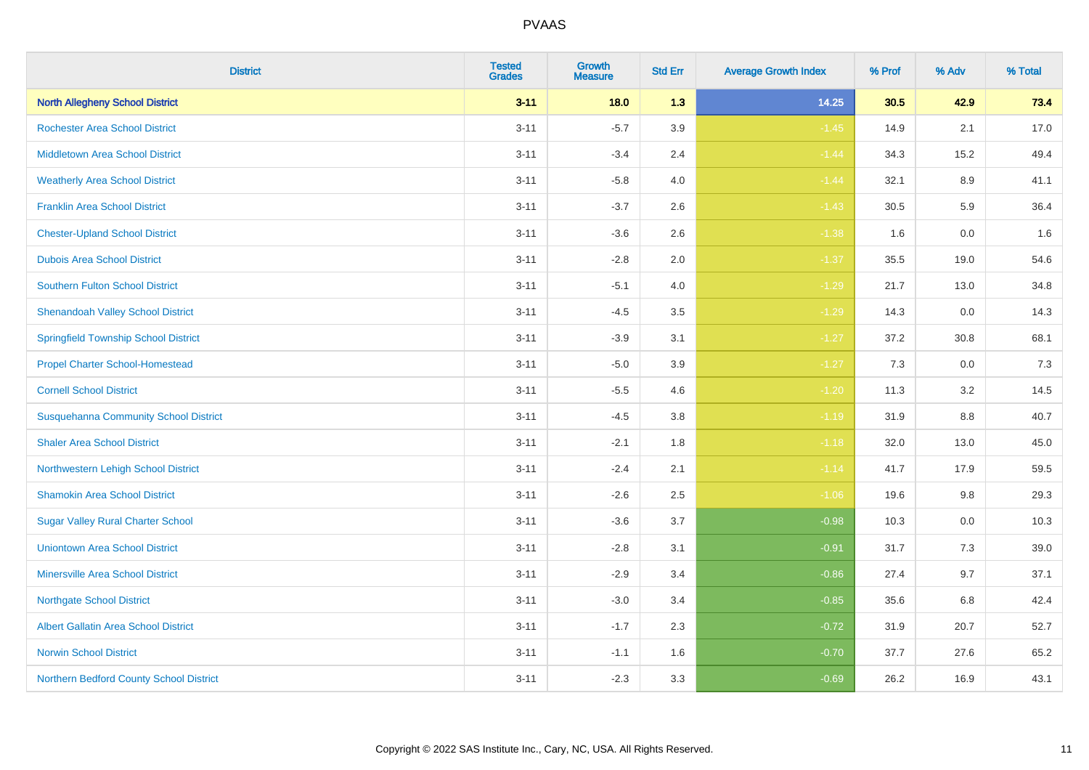| <b>District</b>                              | <b>Tested</b><br><b>Grades</b> | <b>Growth</b><br><b>Measure</b> | <b>Std Err</b> | <b>Average Growth Index</b> | % Prof | % Adv   | % Total |
|----------------------------------------------|--------------------------------|---------------------------------|----------------|-----------------------------|--------|---------|---------|
| <b>North Allegheny School District</b>       | $3 - 11$                       | 18.0                            | 1.3            | 14.25                       | 30.5   | 42.9    | 73.4    |
| <b>Rochester Area School District</b>        | $3 - 11$                       | $-5.7$                          | 3.9            | $-1.45$                     | 14.9   | 2.1     | 17.0    |
| <b>Middletown Area School District</b>       | $3 - 11$                       | $-3.4$                          | 2.4            | $-1.44$                     | 34.3   | 15.2    | 49.4    |
| <b>Weatherly Area School District</b>        | $3 - 11$                       | $-5.8$                          | 4.0            | $-1.44$                     | 32.1   | 8.9     | 41.1    |
| <b>Franklin Area School District</b>         | $3 - 11$                       | $-3.7$                          | 2.6            | $-1.43$                     | 30.5   | 5.9     | 36.4    |
| <b>Chester-Upland School District</b>        | $3 - 11$                       | $-3.6$                          | 2.6            | $-1.38$                     | 1.6    | 0.0     | 1.6     |
| <b>Dubois Area School District</b>           | $3 - 11$                       | $-2.8$                          | 2.0            | $-1.37$                     | 35.5   | 19.0    | 54.6    |
| <b>Southern Fulton School District</b>       | $3 - 11$                       | $-5.1$                          | 4.0            | $-1.29$                     | 21.7   | 13.0    | 34.8    |
| <b>Shenandoah Valley School District</b>     | $3 - 11$                       | $-4.5$                          | 3.5            | $-1.29$                     | 14.3   | 0.0     | 14.3    |
| <b>Springfield Township School District</b>  | $3 - 11$                       | $-3.9$                          | 3.1            | $-1.27$                     | 37.2   | 30.8    | 68.1    |
| <b>Propel Charter School-Homestead</b>       | $3 - 11$                       | $-5.0$                          | 3.9            | $-1.27$                     | 7.3    | 0.0     | 7.3     |
| <b>Cornell School District</b>               | $3 - 11$                       | $-5.5$                          | 4.6            | $-1.20$                     | 11.3   | 3.2     | 14.5    |
| <b>Susquehanna Community School District</b> | $3 - 11$                       | $-4.5$                          | $3.8\,$        | $-1.19$                     | 31.9   | $8.8\,$ | 40.7    |
| <b>Shaler Area School District</b>           | $3 - 11$                       | $-2.1$                          | 1.8            | $-1.18$                     | 32.0   | 13.0    | 45.0    |
| Northwestern Lehigh School District          | $3 - 11$                       | $-2.4$                          | 2.1            | $-1.14$                     | 41.7   | 17.9    | 59.5    |
| <b>Shamokin Area School District</b>         | $3 - 11$                       | $-2.6$                          | 2.5            | $-1.06$                     | 19.6   | $9.8\,$ | 29.3    |
| <b>Sugar Valley Rural Charter School</b>     | $3 - 11$                       | $-3.6$                          | 3.7            | $-0.98$                     | 10.3   | 0.0     | 10.3    |
| <b>Uniontown Area School District</b>        | $3 - 11$                       | $-2.8$                          | 3.1            | $-0.91$                     | 31.7   | 7.3     | 39.0    |
| <b>Minersville Area School District</b>      | $3 - 11$                       | $-2.9$                          | 3.4            | $-0.86$                     | 27.4   | 9.7     | 37.1    |
| <b>Northgate School District</b>             | $3 - 11$                       | $-3.0$                          | 3.4            | $-0.85$                     | 35.6   | 6.8     | 42.4    |
| <b>Albert Gallatin Area School District</b>  | $3 - 11$                       | $-1.7$                          | 2.3            | $-0.72$                     | 31.9   | 20.7    | 52.7    |
| <b>Norwin School District</b>                | $3 - 11$                       | $-1.1$                          | 1.6            | $-0.70$                     | 37.7   | 27.6    | 65.2    |
| Northern Bedford County School District      | $3 - 11$                       | $-2.3$                          | 3.3            | $-0.69$                     | 26.2   | 16.9    | 43.1    |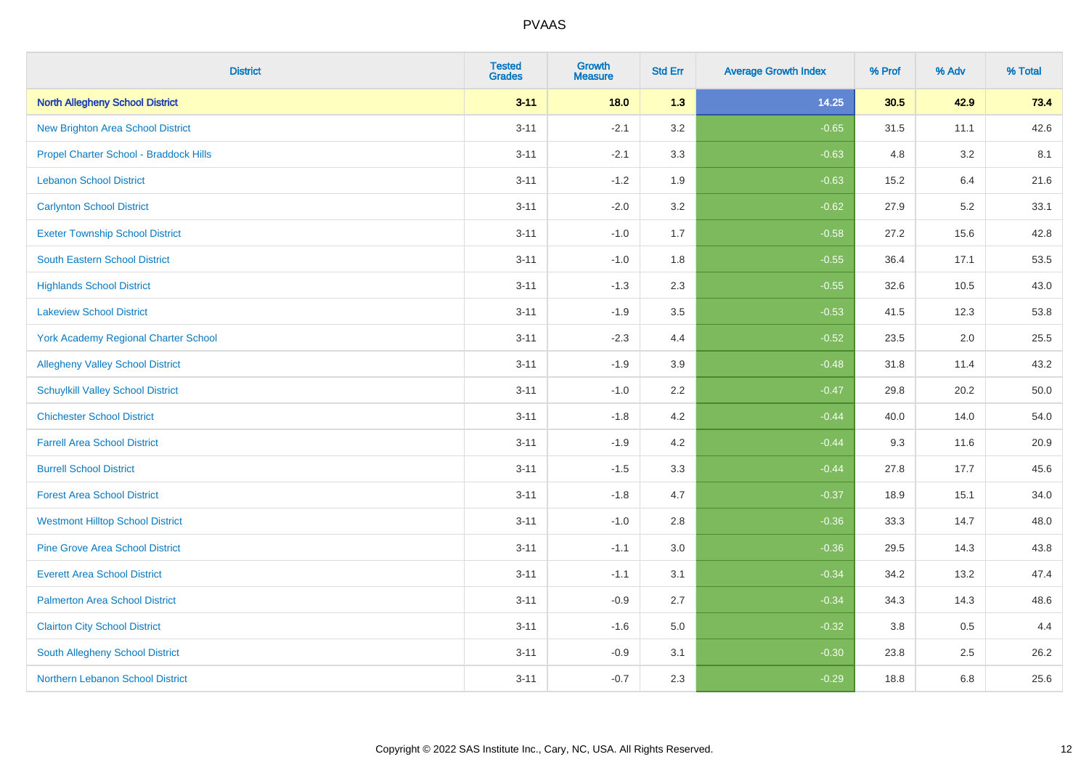| <b>District</b>                          | <b>Tested</b><br><b>Grades</b> | <b>Growth</b><br><b>Measure</b> | <b>Std Err</b> | <b>Average Growth Index</b> | % Prof | % Adv   | % Total |
|------------------------------------------|--------------------------------|---------------------------------|----------------|-----------------------------|--------|---------|---------|
| <b>North Allegheny School District</b>   | $3 - 11$                       | 18.0                            | 1.3            | 14.25                       | 30.5   | 42.9    | 73.4    |
| <b>New Brighton Area School District</b> | $3 - 11$                       | $-2.1$                          | 3.2            | $-0.65$                     | 31.5   | 11.1    | 42.6    |
| Propel Charter School - Braddock Hills   | $3 - 11$                       | $-2.1$                          | 3.3            | $-0.63$                     | 4.8    | 3.2     | 8.1     |
| <b>Lebanon School District</b>           | $3 - 11$                       | $-1.2$                          | 1.9            | $-0.63$                     | 15.2   | 6.4     | 21.6    |
| <b>Carlynton School District</b>         | $3 - 11$                       | $-2.0$                          | 3.2            | $-0.62$                     | 27.9   | 5.2     | 33.1    |
| <b>Exeter Township School District</b>   | $3 - 11$                       | $-1.0$                          | 1.7            | $-0.58$                     | 27.2   | 15.6    | 42.8    |
| <b>South Eastern School District</b>     | $3 - 11$                       | $-1.0$                          | 1.8            | $-0.55$                     | 36.4   | 17.1    | 53.5    |
| <b>Highlands School District</b>         | $3 - 11$                       | $-1.3$                          | 2.3            | $-0.55$                     | 32.6   | 10.5    | 43.0    |
| <b>Lakeview School District</b>          | $3 - 11$                       | $-1.9$                          | 3.5            | $-0.53$                     | 41.5   | 12.3    | 53.8    |
| York Academy Regional Charter School     | $3 - 11$                       | $-2.3$                          | 4.4            | $-0.52$                     | 23.5   | $2.0\,$ | 25.5    |
| <b>Allegheny Valley School District</b>  | $3 - 11$                       | $-1.9$                          | 3.9            | $-0.48$                     | 31.8   | 11.4    | 43.2    |
| <b>Schuylkill Valley School District</b> | $3 - 11$                       | $-1.0$                          | 2.2            | $-0.47$                     | 29.8   | 20.2    | 50.0    |
| <b>Chichester School District</b>        | $3 - 11$                       | $-1.8$                          | 4.2            | $-0.44$                     | 40.0   | 14.0    | 54.0    |
| <b>Farrell Area School District</b>      | $3 - 11$                       | $-1.9$                          | 4.2            | $-0.44$                     | 9.3    | 11.6    | 20.9    |
| <b>Burrell School District</b>           | $3 - 11$                       | $-1.5$                          | 3.3            | $-0.44$                     | 27.8   | 17.7    | 45.6    |
| <b>Forest Area School District</b>       | $3 - 11$                       | $-1.8$                          | 4.7            | $-0.37$                     | 18.9   | 15.1    | 34.0    |
| <b>Westmont Hilltop School District</b>  | $3 - 11$                       | $-1.0$                          | 2.8            | $-0.36$                     | 33.3   | 14.7    | 48.0    |
| <b>Pine Grove Area School District</b>   | $3 - 11$                       | $-1.1$                          | 3.0            | $-0.36$                     | 29.5   | 14.3    | 43.8    |
| <b>Everett Area School District</b>      | $3 - 11$                       | $-1.1$                          | 3.1            | $-0.34$                     | 34.2   | 13.2    | 47.4    |
| <b>Palmerton Area School District</b>    | $3 - 11$                       | $-0.9$                          | 2.7            | $-0.34$                     | 34.3   | 14.3    | 48.6    |
| <b>Clairton City School District</b>     | $3 - 11$                       | $-1.6$                          | 5.0            | $-0.32$                     | 3.8    | 0.5     | 4.4     |
| South Allegheny School District          | $3 - 11$                       | $-0.9$                          | 3.1            | $-0.30$                     | 23.8   | 2.5     | 26.2    |
| Northern Lebanon School District         | $3 - 11$                       | $-0.7$                          | 2.3            | $-0.29$                     | 18.8   | 6.8     | 25.6    |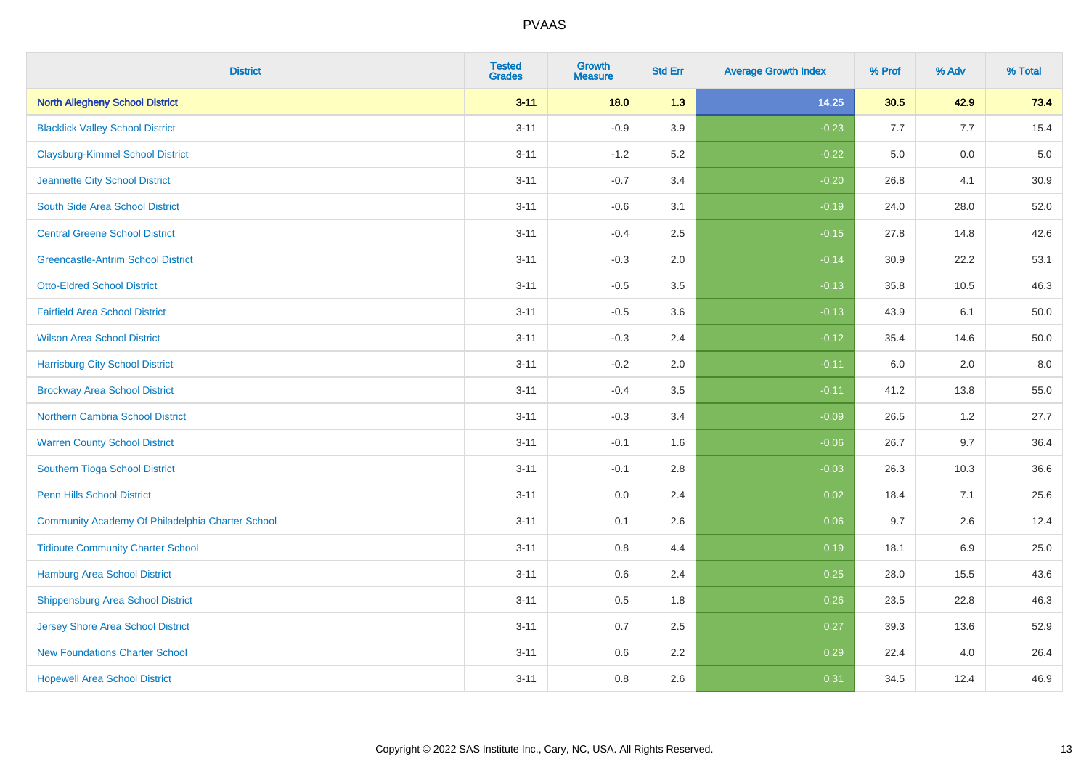| <b>District</b>                                  | <b>Tested</b><br><b>Grades</b> | <b>Growth</b><br><b>Measure</b> | <b>Std Err</b> | <b>Average Growth Index</b> | % Prof | % Adv   | % Total |
|--------------------------------------------------|--------------------------------|---------------------------------|----------------|-----------------------------|--------|---------|---------|
| <b>North Allegheny School District</b>           | $3 - 11$                       | 18.0                            | 1.3            | 14.25                       | 30.5   | 42.9    | 73.4    |
| <b>Blacklick Valley School District</b>          | $3 - 11$                       | $-0.9$                          | 3.9            | $-0.23$                     | 7.7    | 7.7     | 15.4    |
| <b>Claysburg-Kimmel School District</b>          | $3 - 11$                       | $-1.2$                          | 5.2            | $-0.22$                     | 5.0    | 0.0     | $5.0$   |
| Jeannette City School District                   | $3 - 11$                       | $-0.7$                          | 3.4            | $-0.20$                     | 26.8   | 4.1     | 30.9    |
| South Side Area School District                  | $3 - 11$                       | $-0.6$                          | 3.1            | $-0.19$                     | 24.0   | 28.0    | 52.0    |
| <b>Central Greene School District</b>            | $3 - 11$                       | $-0.4$                          | 2.5            | $-0.15$                     | 27.8   | 14.8    | 42.6    |
| <b>Greencastle-Antrim School District</b>        | $3 - 11$                       | $-0.3$                          | 2.0            | $-0.14$                     | 30.9   | 22.2    | 53.1    |
| <b>Otto-Eldred School District</b>               | $3 - 11$                       | $-0.5$                          | 3.5            | $-0.13$                     | 35.8   | 10.5    | 46.3    |
| <b>Fairfield Area School District</b>            | $3 - 11$                       | $-0.5$                          | 3.6            | $-0.13$                     | 43.9   | 6.1     | 50.0    |
| <b>Wilson Area School District</b>               | $3 - 11$                       | $-0.3$                          | 2.4            | $-0.12$                     | 35.4   | 14.6    | 50.0    |
| <b>Harrisburg City School District</b>           | $3 - 11$                       | $-0.2$                          | 2.0            | $-0.11$                     | 6.0    | 2.0     | 8.0     |
| <b>Brockway Area School District</b>             | $3 - 11$                       | $-0.4$                          | 3.5            | $-0.11$                     | 41.2   | 13.8    | 55.0    |
| Northern Cambria School District                 | $3 - 11$                       | $-0.3$                          | 3.4            | $-0.09$                     | 26.5   | $1.2\,$ | 27.7    |
| <b>Warren County School District</b>             | $3 - 11$                       | $-0.1$                          | 1.6            | $-0.06$                     | 26.7   | 9.7     | 36.4    |
| Southern Tioga School District                   | $3 - 11$                       | $-0.1$                          | 2.8            | $-0.03$                     | 26.3   | 10.3    | 36.6    |
| Penn Hills School District                       | $3 - 11$                       | 0.0                             | 2.4            | 0.02                        | 18.4   | 7.1     | 25.6    |
| Community Academy Of Philadelphia Charter School | $3 - 11$                       | 0.1                             | 2.6            | 0.06                        | 9.7    | 2.6     | 12.4    |
| <b>Tidioute Community Charter School</b>         | $3 - 11$                       | 0.8                             | 4.4            | 0.19                        | 18.1   | 6.9     | 25.0    |
| <b>Hamburg Area School District</b>              | $3 - 11$                       | 0.6                             | 2.4            | 0.25                        | 28.0   | 15.5    | 43.6    |
| <b>Shippensburg Area School District</b>         | $3 - 11$                       | 0.5                             | 1.8            | 0.26                        | 23.5   | 22.8    | 46.3    |
| Jersey Shore Area School District                | $3 - 11$                       | 0.7                             | 2.5            | 0.27                        | 39.3   | 13.6    | 52.9    |
| <b>New Foundations Charter School</b>            | $3 - 11$                       | 0.6                             | 2.2            | 0.29                        | 22.4   | 4.0     | 26.4    |
| <b>Hopewell Area School District</b>             | $3 - 11$                       | 0.8                             | 2.6            | 0.31                        | 34.5   | 12.4    | 46.9    |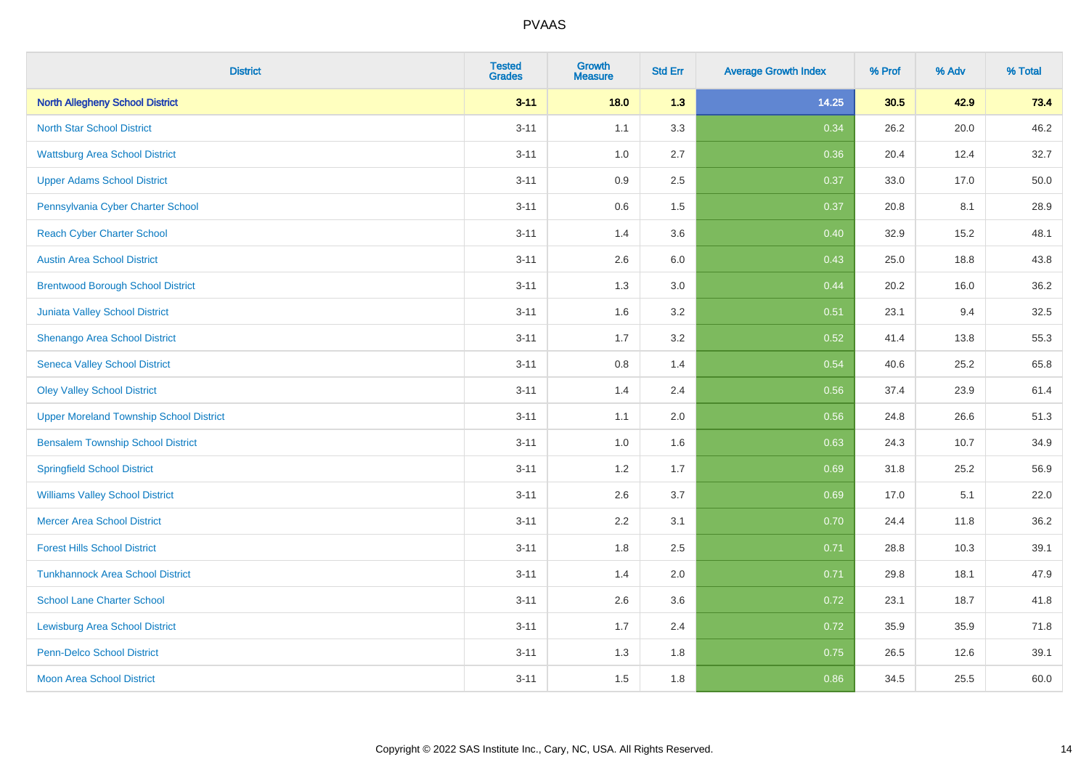| <b>District</b>                                | <b>Tested</b><br><b>Grades</b> | <b>Growth</b><br><b>Measure</b> | <b>Std Err</b> | <b>Average Growth Index</b> | % Prof | % Adv | % Total |
|------------------------------------------------|--------------------------------|---------------------------------|----------------|-----------------------------|--------|-------|---------|
| <b>North Allegheny School District</b>         | $3 - 11$                       | 18.0                            | 1.3            | 14.25                       | 30.5   | 42.9  | 73.4    |
| <b>North Star School District</b>              | $3 - 11$                       | 1.1                             | 3.3            | 0.34                        | 26.2   | 20.0  | 46.2    |
| <b>Wattsburg Area School District</b>          | $3 - 11$                       | 1.0                             | 2.7            | 0.36                        | 20.4   | 12.4  | 32.7    |
| <b>Upper Adams School District</b>             | $3 - 11$                       | $0.9\,$                         | 2.5            | 0.37                        | 33.0   | 17.0  | 50.0    |
| Pennsylvania Cyber Charter School              | $3 - 11$                       | 0.6                             | 1.5            | 0.37                        | 20.8   | 8.1   | 28.9    |
| <b>Reach Cyber Charter School</b>              | $3 - 11$                       | 1.4                             | 3.6            | 0.40                        | 32.9   | 15.2  | 48.1    |
| <b>Austin Area School District</b>             | $3 - 11$                       | 2.6                             | 6.0            | 0.43                        | 25.0   | 18.8  | 43.8    |
| <b>Brentwood Borough School District</b>       | $3 - 11$                       | 1.3                             | 3.0            | 0.44                        | 20.2   | 16.0  | 36.2    |
| <b>Juniata Valley School District</b>          | $3 - 11$                       | 1.6                             | 3.2            | 0.51                        | 23.1   | 9.4   | 32.5    |
| Shenango Area School District                  | $3 - 11$                       | 1.7                             | 3.2            | 0.52                        | 41.4   | 13.8  | 55.3    |
| <b>Seneca Valley School District</b>           | $3 - 11$                       | 0.8                             | 1.4            | 0.54                        | 40.6   | 25.2  | 65.8    |
| <b>Oley Valley School District</b>             | $3 - 11$                       | 1.4                             | 2.4            | 0.56                        | 37.4   | 23.9  | 61.4    |
| <b>Upper Moreland Township School District</b> | $3 - 11$                       | 1.1                             | 2.0            | 0.56                        | 24.8   | 26.6  | 51.3    |
| <b>Bensalem Township School District</b>       | $3 - 11$                       | 1.0                             | 1.6            | 0.63                        | 24.3   | 10.7  | 34.9    |
| <b>Springfield School District</b>             | $3 - 11$                       | 1.2                             | 1.7            | 0.69                        | 31.8   | 25.2  | 56.9    |
| <b>Williams Valley School District</b>         | $3 - 11$                       | 2.6                             | 3.7            | 0.69                        | 17.0   | 5.1   | 22.0    |
| <b>Mercer Area School District</b>             | $3 - 11$                       | 2.2                             | 3.1            | 0.70                        | 24.4   | 11.8  | 36.2    |
| <b>Forest Hills School District</b>            | $3 - 11$                       | 1.8                             | 2.5            | 0.71                        | 28.8   | 10.3  | 39.1    |
| <b>Tunkhannock Area School District</b>        | $3 - 11$                       | 1.4                             | 2.0            | 0.71                        | 29.8   | 18.1  | 47.9    |
| <b>School Lane Charter School</b>              | $3 - 11$                       | 2.6                             | 3.6            | 0.72                        | 23.1   | 18.7  | 41.8    |
| <b>Lewisburg Area School District</b>          | $3 - 11$                       | 1.7                             | 2.4            | 0.72                        | 35.9   | 35.9  | 71.8    |
| <b>Penn-Delco School District</b>              | $3 - 11$                       | 1.3                             | 1.8            | 0.75                        | 26.5   | 12.6  | 39.1    |
| <b>Moon Area School District</b>               | $3 - 11$                       | 1.5                             | 1.8            | 0.86                        | 34.5   | 25.5  | 60.0    |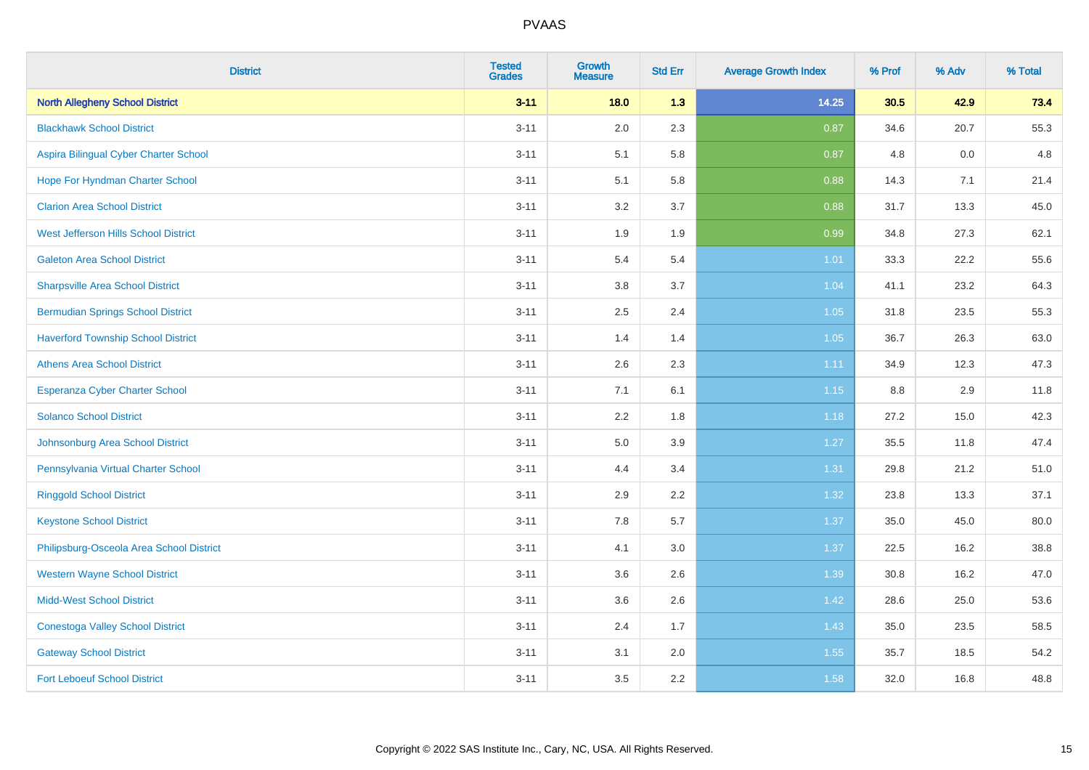| <b>District</b>                           | <b>Tested</b><br><b>Grades</b> | <b>Growth</b><br><b>Measure</b> | <b>Std Err</b> | <b>Average Growth Index</b> | % Prof | % Adv | % Total |
|-------------------------------------------|--------------------------------|---------------------------------|----------------|-----------------------------|--------|-------|---------|
| <b>North Allegheny School District</b>    | $3 - 11$                       | 18.0                            | 1.3            | 14.25                       | 30.5   | 42.9  | 73.4    |
| <b>Blackhawk School District</b>          | $3 - 11$                       | 2.0                             | 2.3            | 0.87                        | 34.6   | 20.7  | 55.3    |
| Aspira Bilingual Cyber Charter School     | $3 - 11$                       | 5.1                             | 5.8            | 0.87                        | 4.8    | 0.0   | 4.8     |
| Hope For Hyndman Charter School           | $3 - 11$                       | 5.1                             | 5.8            | 0.88                        | 14.3   | 7.1   | 21.4    |
| <b>Clarion Area School District</b>       | $3 - 11$                       | 3.2                             | 3.7            | 0.88                        | 31.7   | 13.3  | 45.0    |
| West Jefferson Hills School District      | $3 - 11$                       | 1.9                             | 1.9            | 0.99                        | 34.8   | 27.3  | 62.1    |
| <b>Galeton Area School District</b>       | $3 - 11$                       | 5.4                             | 5.4            | $1.01$                      | 33.3   | 22.2  | 55.6    |
| <b>Sharpsville Area School District</b>   | $3 - 11$                       | 3.8                             | 3.7            | 1.04                        | 41.1   | 23.2  | 64.3    |
| <b>Bermudian Springs School District</b>  | $3 - 11$                       | 2.5                             | 2.4            | 1.05                        | 31.8   | 23.5  | 55.3    |
| <b>Haverford Township School District</b> | $3 - 11$                       | 1.4                             | 1.4            | 1.05                        | 36.7   | 26.3  | 63.0    |
| <b>Athens Area School District</b>        | $3 - 11$                       | 2.6                             | 2.3            | 1.11                        | 34.9   | 12.3  | 47.3    |
| Esperanza Cyber Charter School            | $3 - 11$                       | 7.1                             | 6.1            | 1.15                        | 8.8    | 2.9   | 11.8    |
| <b>Solanco School District</b>            | $3 - 11$                       | 2.2                             | 1.8            | 1.18                        | 27.2   | 15.0  | 42.3    |
| Johnsonburg Area School District          | $3 - 11$                       | 5.0                             | 3.9            | 1.27                        | 35.5   | 11.8  | 47.4    |
| Pennsylvania Virtual Charter School       | $3 - 11$                       | 4.4                             | 3.4            | 1.31                        | 29.8   | 21.2  | 51.0    |
| <b>Ringgold School District</b>           | $3 - 11$                       | 2.9                             | 2.2            | 1.32                        | 23.8   | 13.3  | 37.1    |
| <b>Keystone School District</b>           | $3 - 11$                       | 7.8                             | 5.7            | 1.37                        | 35.0   | 45.0  | 80.0    |
| Philipsburg-Osceola Area School District  | $3 - 11$                       | 4.1                             | 3.0            | 1.37                        | 22.5   | 16.2  | 38.8    |
| <b>Western Wayne School District</b>      | $3 - 11$                       | 3.6                             | 2.6            | 1.39                        | 30.8   | 16.2  | 47.0    |
| <b>Midd-West School District</b>          | $3 - 11$                       | 3.6                             | 2.6            | 1.42                        | 28.6   | 25.0  | 53.6    |
| <b>Conestoga Valley School District</b>   | $3 - 11$                       | 2.4                             | 1.7            | 1.43                        | 35.0   | 23.5  | 58.5    |
| <b>Gateway School District</b>            | $3 - 11$                       | 3.1                             | 2.0            | 1.55                        | 35.7   | 18.5  | 54.2    |
| <b>Fort Leboeuf School District</b>       | $3 - 11$                       | 3.5                             | 2.2            | 1.58                        | 32.0   | 16.8  | 48.8    |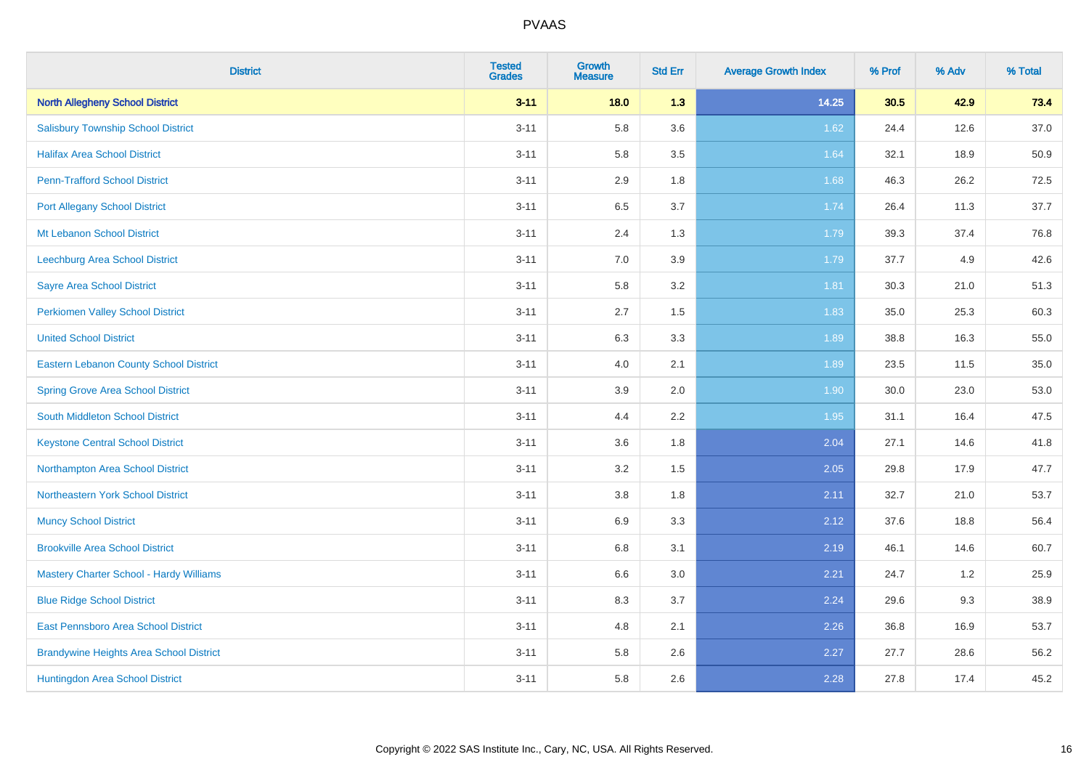| <b>District</b>                                | <b>Tested</b><br><b>Grades</b> | <b>Growth</b><br><b>Measure</b> | <b>Std Err</b> | <b>Average Growth Index</b> | % Prof | % Adv | % Total |
|------------------------------------------------|--------------------------------|---------------------------------|----------------|-----------------------------|--------|-------|---------|
| <b>North Allegheny School District</b>         | $3 - 11$                       | 18.0                            | 1.3            | 14.25                       | 30.5   | 42.9  | 73.4    |
| <b>Salisbury Township School District</b>      | $3 - 11$                       | 5.8                             | 3.6            | 1.62                        | 24.4   | 12.6  | 37.0    |
| <b>Halifax Area School District</b>            | $3 - 11$                       | 5.8                             | 3.5            | 1.64                        | 32.1   | 18.9  | 50.9    |
| <b>Penn-Trafford School District</b>           | $3 - 11$                       | 2.9                             | 1.8            | 1.68                        | 46.3   | 26.2  | 72.5    |
| <b>Port Allegany School District</b>           | $3 - 11$                       | 6.5                             | 3.7            | 1.74                        | 26.4   | 11.3  | 37.7    |
| Mt Lebanon School District                     | $3 - 11$                       | 2.4                             | 1.3            | 1.79                        | 39.3   | 37.4  | 76.8    |
| Leechburg Area School District                 | $3 - 11$                       | 7.0                             | 3.9            | 1.79                        | 37.7   | 4.9   | 42.6    |
| <b>Sayre Area School District</b>              | $3 - 11$                       | 5.8                             | 3.2            | 1.81                        | 30.3   | 21.0  | 51.3    |
| <b>Perkiomen Valley School District</b>        | $3 - 11$                       | 2.7                             | 1.5            | 1.83                        | 35.0   | 25.3  | 60.3    |
| <b>United School District</b>                  | $3 - 11$                       | 6.3                             | 3.3            | 1.89                        | 38.8   | 16.3  | 55.0    |
| Eastern Lebanon County School District         | $3 - 11$                       | 4.0                             | 2.1            | 1.89                        | 23.5   | 11.5  | 35.0    |
| <b>Spring Grove Area School District</b>       | $3 - 11$                       | 3.9                             | 2.0            | 1.90                        | 30.0   | 23.0  | 53.0    |
| South Middleton School District                | $3 - 11$                       | 4.4                             | 2.2            | 1.95                        | 31.1   | 16.4  | 47.5    |
| <b>Keystone Central School District</b>        | $3 - 11$                       | 3.6                             | 1.8            | 2.04                        | 27.1   | 14.6  | 41.8    |
| Northampton Area School District               | $3 - 11$                       | 3.2                             | 1.5            | 2.05                        | 29.8   | 17.9  | 47.7    |
| Northeastern York School District              | $3 - 11$                       | 3.8                             | 1.8            | 2.11                        | 32.7   | 21.0  | 53.7    |
| <b>Muncy School District</b>                   | $3 - 11$                       | 6.9                             | 3.3            | 2.12                        | 37.6   | 18.8  | 56.4    |
| <b>Brookville Area School District</b>         | $3 - 11$                       | 6.8                             | 3.1            | 2.19                        | 46.1   | 14.6  | 60.7    |
| Mastery Charter School - Hardy Williams        | $3 - 11$                       | 6.6                             | 3.0            | 2.21                        | 24.7   | 1.2   | 25.9    |
| <b>Blue Ridge School District</b>              | $3 - 11$                       | 8.3                             | 3.7            | 2.24                        | 29.6   | 9.3   | 38.9    |
| East Pennsboro Area School District            | $3 - 11$                       | 4.8                             | 2.1            | 2.26                        | 36.8   | 16.9  | 53.7    |
| <b>Brandywine Heights Area School District</b> | $3 - 11$                       | 5.8                             | 2.6            | 2.27                        | 27.7   | 28.6  | 56.2    |
| Huntingdon Area School District                | $3 - 11$                       | 5.8                             | 2.6            | 2.28                        | 27.8   | 17.4  | 45.2    |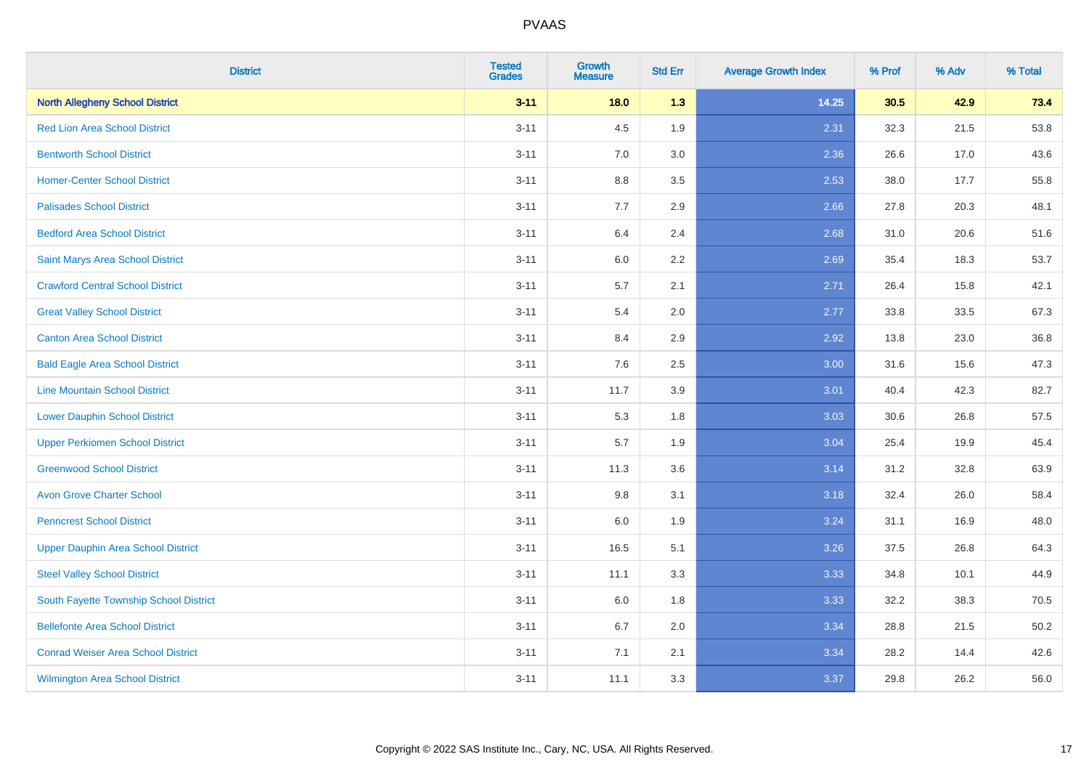| <b>District</b>                           | <b>Tested</b><br><b>Grades</b> | <b>Growth</b><br><b>Measure</b> | <b>Std Err</b> | <b>Average Growth Index</b> | % Prof | % Adv | % Total |
|-------------------------------------------|--------------------------------|---------------------------------|----------------|-----------------------------|--------|-------|---------|
| <b>North Allegheny School District</b>    | $3 - 11$                       | 18.0                            | 1.3            | 14.25                       | 30.5   | 42.9  | 73.4    |
| <b>Red Lion Area School District</b>      | $3 - 11$                       | 4.5                             | 1.9            | 2.31                        | 32.3   | 21.5  | 53.8    |
| <b>Bentworth School District</b>          | $3 - 11$                       | 7.0                             | 3.0            | 2.36                        | 26.6   | 17.0  | 43.6    |
| <b>Homer-Center School District</b>       | $3 - 11$                       | 8.8                             | 3.5            | 2.53                        | 38.0   | 17.7  | 55.8    |
| <b>Palisades School District</b>          | $3 - 11$                       | 7.7                             | 2.9            | 2.66                        | 27.8   | 20.3  | 48.1    |
| <b>Bedford Area School District</b>       | $3 - 11$                       | 6.4                             | 2.4            | 2.68                        | 31.0   | 20.6  | 51.6    |
| Saint Marys Area School District          | $3 - 11$                       | 6.0                             | 2.2            | 2.69                        | 35.4   | 18.3  | 53.7    |
| <b>Crawford Central School District</b>   | $3 - 11$                       | 5.7                             | 2.1            | 2.71                        | 26.4   | 15.8  | 42.1    |
| <b>Great Valley School District</b>       | $3 - 11$                       | 5.4                             | 2.0            | 2.77                        | 33.8   | 33.5  | 67.3    |
| <b>Canton Area School District</b>        | $3 - 11$                       | 8.4                             | 2.9            | 2.92                        | 13.8   | 23.0  | 36.8    |
| <b>Bald Eagle Area School District</b>    | $3 - 11$                       | 7.6                             | 2.5            | 3.00                        | 31.6   | 15.6  | 47.3    |
| <b>Line Mountain School District</b>      | $3 - 11$                       | 11.7                            | 3.9            | 3.01                        | 40.4   | 42.3  | 82.7    |
| <b>Lower Dauphin School District</b>      | $3 - 11$                       | 5.3                             | 1.8            | 3.03                        | 30.6   | 26.8  | 57.5    |
| <b>Upper Perkiomen School District</b>    | $3 - 11$                       | 5.7                             | 1.9            | 3.04                        | 25.4   | 19.9  | 45.4    |
| <b>Greenwood School District</b>          | $3 - 11$                       | 11.3                            | 3.6            | 3.14                        | 31.2   | 32.8  | 63.9    |
| <b>Avon Grove Charter School</b>          | $3 - 11$                       | $9.8\,$                         | 3.1            | 3.18                        | 32.4   | 26.0  | 58.4    |
| <b>Penncrest School District</b>          | $3 - 11$                       | 6.0                             | 1.9            | 3.24                        | 31.1   | 16.9  | 48.0    |
| <b>Upper Dauphin Area School District</b> | $3 - 11$                       | 16.5                            | 5.1            | 3.26                        | 37.5   | 26.8  | 64.3    |
| <b>Steel Valley School District</b>       | $3 - 11$                       | 11.1                            | 3.3            | 3.33                        | 34.8   | 10.1  | 44.9    |
| South Fayette Township School District    | $3 - 11$                       | 6.0                             | 1.8            | 3.33                        | 32.2   | 38.3  | 70.5    |
| <b>Bellefonte Area School District</b>    | $3 - 11$                       | 6.7                             | 2.0            | 3.34                        | 28.8   | 21.5  | 50.2    |
| <b>Conrad Weiser Area School District</b> | $3 - 11$                       | 7.1                             | 2.1            | 3.34                        | 28.2   | 14.4  | 42.6    |
| <b>Wilmington Area School District</b>    | $3 - 11$                       | 11.1                            | 3.3            | 3.37                        | 29.8   | 26.2  | 56.0    |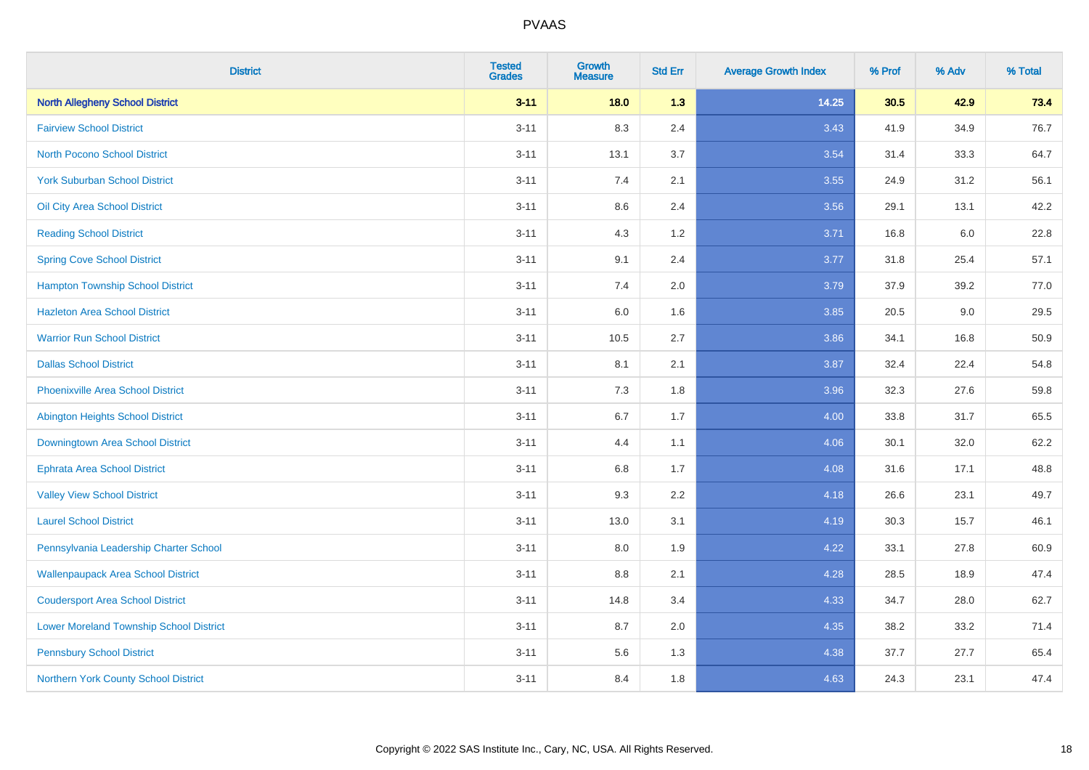| <b>District</b>                                | <b>Tested</b><br><b>Grades</b> | <b>Growth</b><br><b>Measure</b> | <b>Std Err</b> | <b>Average Growth Index</b> | % Prof | % Adv   | % Total |
|------------------------------------------------|--------------------------------|---------------------------------|----------------|-----------------------------|--------|---------|---------|
| <b>North Allegheny School District</b>         | $3 - 11$                       | $18.0$                          | 1.3            | 14.25                       | 30.5   | 42.9    | 73.4    |
| <b>Fairview School District</b>                | $3 - 11$                       | 8.3                             | 2.4            | 3.43                        | 41.9   | 34.9    | 76.7    |
| <b>North Pocono School District</b>            | $3 - 11$                       | 13.1                            | 3.7            | 3.54                        | 31.4   | 33.3    | 64.7    |
| <b>York Suburban School District</b>           | $3 - 11$                       | 7.4                             | 2.1            | 3.55                        | 24.9   | 31.2    | 56.1    |
| Oil City Area School District                  | $3 - 11$                       | 8.6                             | 2.4            | 3.56                        | 29.1   | 13.1    | 42.2    |
| <b>Reading School District</b>                 | $3 - 11$                       | 4.3                             | 1.2            | 3.71                        | 16.8   | $6.0\,$ | 22.8    |
| <b>Spring Cove School District</b>             | $3 - 11$                       | 9.1                             | 2.4            | 3.77                        | 31.8   | 25.4    | 57.1    |
| <b>Hampton Township School District</b>        | $3 - 11$                       | 7.4                             | 2.0            | 3.79                        | 37.9   | 39.2    | 77.0    |
| <b>Hazleton Area School District</b>           | $3 - 11$                       | 6.0                             | 1.6            | 3.85                        | 20.5   | 9.0     | 29.5    |
| <b>Warrior Run School District</b>             | $3 - 11$                       | 10.5                            | 2.7            | 3.86                        | 34.1   | 16.8    | 50.9    |
| <b>Dallas School District</b>                  | $3 - 11$                       | 8.1                             | 2.1            | 3.87                        | 32.4   | 22.4    | 54.8    |
| <b>Phoenixville Area School District</b>       | $3 - 11$                       | 7.3                             | 1.8            | 3.96                        | 32.3   | 27.6    | 59.8    |
| Abington Heights School District               | $3 - 11$                       | 6.7                             | 1.7            | 4.00                        | 33.8   | 31.7    | 65.5    |
| Downingtown Area School District               | $3 - 11$                       | 4.4                             | 1.1            | 4.06                        | 30.1   | 32.0    | 62.2    |
| <b>Ephrata Area School District</b>            | $3 - 11$                       | 6.8                             | 1.7            | 4.08                        | 31.6   | 17.1    | 48.8    |
| <b>Valley View School District</b>             | $3 - 11$                       | 9.3                             | 2.2            | 4.18                        | 26.6   | 23.1    | 49.7    |
| <b>Laurel School District</b>                  | $3 - 11$                       | 13.0                            | 3.1            | 4.19                        | 30.3   | 15.7    | 46.1    |
| Pennsylvania Leadership Charter School         | $3 - 11$                       | 8.0                             | 1.9            | 4.22                        | 33.1   | 27.8    | 60.9    |
| <b>Wallenpaupack Area School District</b>      | $3 - 11$                       | 8.8                             | 2.1            | 4.28                        | 28.5   | 18.9    | 47.4    |
| <b>Coudersport Area School District</b>        | $3 - 11$                       | 14.8                            | 3.4            | 4.33                        | 34.7   | 28.0    | 62.7    |
| <b>Lower Moreland Township School District</b> | $3 - 11$                       | 8.7                             | 2.0            | 4.35                        | 38.2   | 33.2    | 71.4    |
| <b>Pennsbury School District</b>               | $3 - 11$                       | 5.6                             | 1.3            | 4.38                        | 37.7   | 27.7    | 65.4    |
| Northern York County School District           | $3 - 11$                       | 8.4                             | 1.8            | 4.63                        | 24.3   | 23.1    | 47.4    |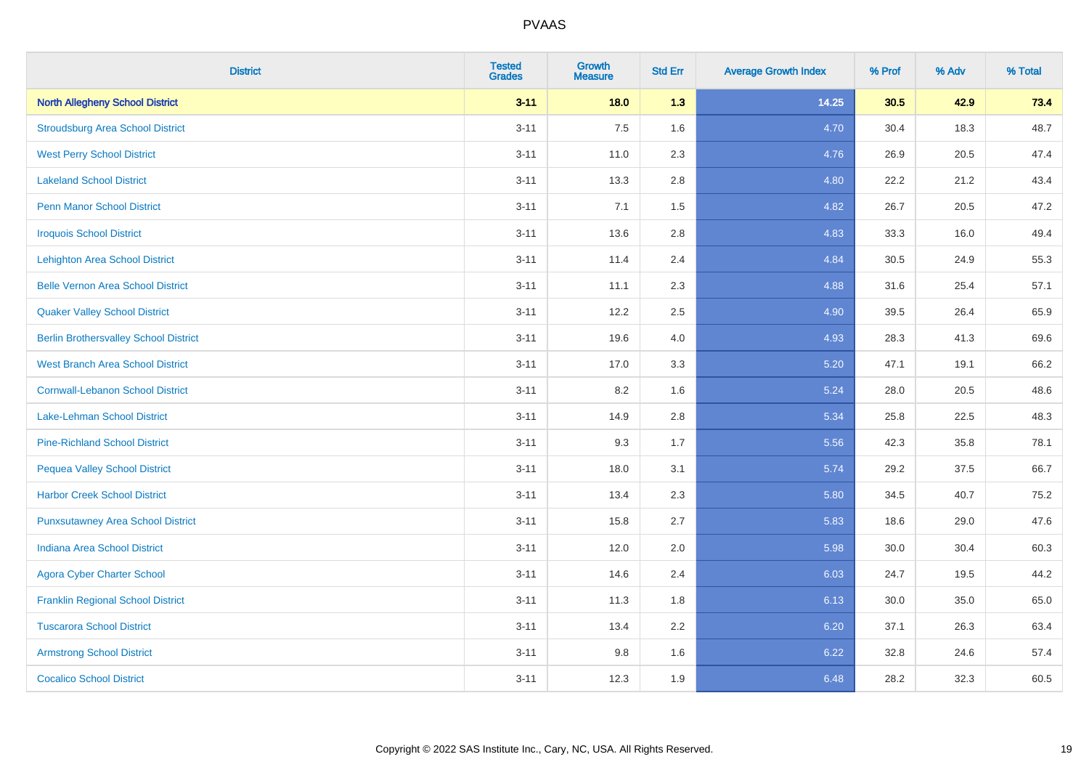| <b>District</b>                              | <b>Tested</b><br><b>Grades</b> | <b>Growth</b><br><b>Measure</b> | <b>Std Err</b> | <b>Average Growth Index</b> | % Prof | % Adv | % Total |
|----------------------------------------------|--------------------------------|---------------------------------|----------------|-----------------------------|--------|-------|---------|
| <b>North Allegheny School District</b>       | $3 - 11$                       | $18.0$                          | 1.3            | 14.25                       | 30.5   | 42.9  | 73.4    |
| <b>Stroudsburg Area School District</b>      | $3 - 11$                       | 7.5                             | 1.6            | 4.70                        | 30.4   | 18.3  | 48.7    |
| <b>West Perry School District</b>            | $3 - 11$                       | 11.0                            | 2.3            | 4.76                        | 26.9   | 20.5  | 47.4    |
| <b>Lakeland School District</b>              | $3 - 11$                       | 13.3                            | 2.8            | 4.80                        | 22.2   | 21.2  | 43.4    |
| <b>Penn Manor School District</b>            | $3 - 11$                       | 7.1                             | 1.5            | 4.82                        | 26.7   | 20.5  | 47.2    |
| <b>Iroquois School District</b>              | $3 - 11$                       | 13.6                            | 2.8            | 4.83                        | 33.3   | 16.0  | 49.4    |
| <b>Lehighton Area School District</b>        | $3 - 11$                       | 11.4                            | 2.4            | 4.84                        | 30.5   | 24.9  | 55.3    |
| <b>Belle Vernon Area School District</b>     | $3 - 11$                       | 11.1                            | 2.3            | 4.88                        | 31.6   | 25.4  | 57.1    |
| <b>Quaker Valley School District</b>         | $3 - 11$                       | 12.2                            | 2.5            | 4.90                        | 39.5   | 26.4  | 65.9    |
| <b>Berlin Brothersvalley School District</b> | $3 - 11$                       | 19.6                            | 4.0            | 4.93                        | 28.3   | 41.3  | 69.6    |
| <b>West Branch Area School District</b>      | $3 - 11$                       | 17.0                            | 3.3            | 5.20                        | 47.1   | 19.1  | 66.2    |
| <b>Cornwall-Lebanon School District</b>      | $3 - 11$                       | 8.2                             | 1.6            | 5.24                        | 28.0   | 20.5  | 48.6    |
| Lake-Lehman School District                  | $3 - 11$                       | 14.9                            | 2.8            | 5.34                        | 25.8   | 22.5  | 48.3    |
| <b>Pine-Richland School District</b>         | $3 - 11$                       | 9.3                             | 1.7            | 5.56                        | 42.3   | 35.8  | 78.1    |
| <b>Pequea Valley School District</b>         | $3 - 11$                       | 18.0                            | 3.1            | 5.74                        | 29.2   | 37.5  | 66.7    |
| <b>Harbor Creek School District</b>          | $3 - 11$                       | 13.4                            | 2.3            | 5.80                        | 34.5   | 40.7  | 75.2    |
| <b>Punxsutawney Area School District</b>     | $3 - 11$                       | 15.8                            | 2.7            | 5.83                        | 18.6   | 29.0  | 47.6    |
| <b>Indiana Area School District</b>          | $3 - 11$                       | 12.0                            | 2.0            | 5.98                        | 30.0   | 30.4  | 60.3    |
| <b>Agora Cyber Charter School</b>            | $3 - 11$                       | 14.6                            | 2.4            | 6.03                        | 24.7   | 19.5  | 44.2    |
| <b>Franklin Regional School District</b>     | $3 - 11$                       | 11.3                            | 1.8            | 6.13                        | 30.0   | 35.0  | 65.0    |
| <b>Tuscarora School District</b>             | $3 - 11$                       | 13.4                            | 2.2            | 6.20                        | 37.1   | 26.3  | 63.4    |
| <b>Armstrong School District</b>             | $3 - 11$                       | 9.8                             | 1.6            | 6.22                        | 32.8   | 24.6  | 57.4    |
| <b>Cocalico School District</b>              | $3 - 11$                       | 12.3                            | 1.9            | 6.48                        | 28.2   | 32.3  | 60.5    |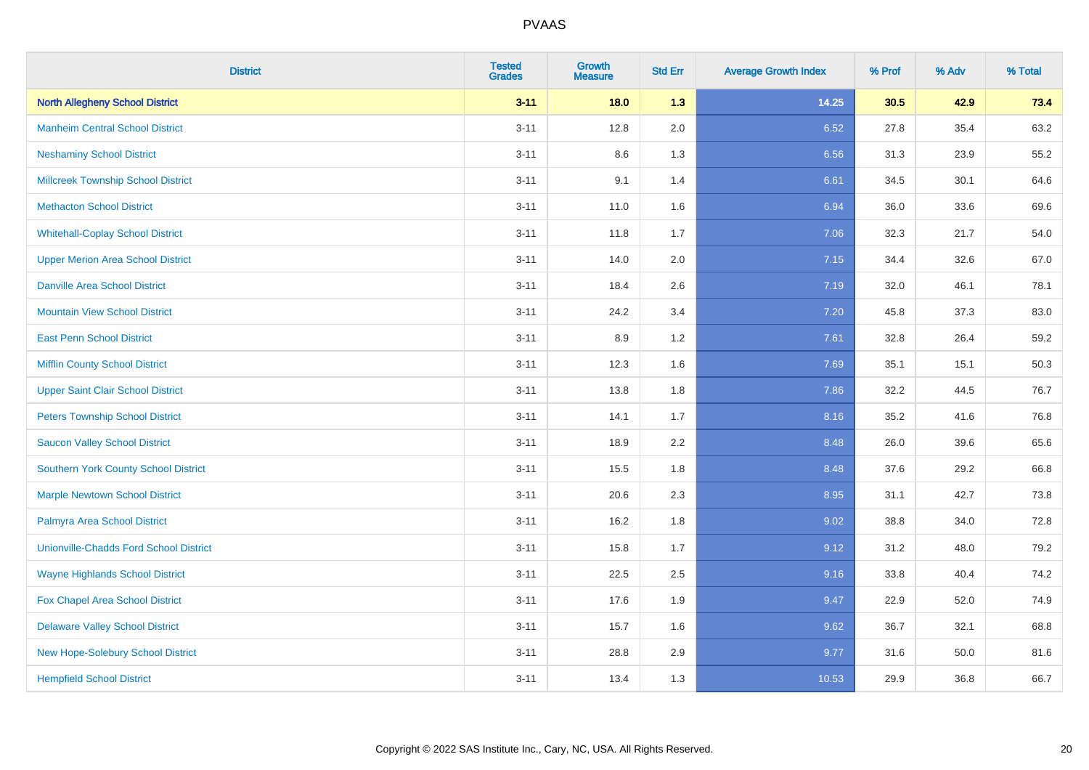| <b>District</b>                               | <b>Tested</b><br><b>Grades</b> | <b>Growth</b><br><b>Measure</b> | <b>Std Err</b> | <b>Average Growth Index</b> | % Prof | % Adv | % Total |
|-----------------------------------------------|--------------------------------|---------------------------------|----------------|-----------------------------|--------|-------|---------|
| <b>North Allegheny School District</b>        | $3 - 11$                       | $18.0$                          | 1.3            | 14.25                       | 30.5   | 42.9  | 73.4    |
| <b>Manheim Central School District</b>        | $3 - 11$                       | 12.8                            | 2.0            | 6.52                        | 27.8   | 35.4  | 63.2    |
| <b>Neshaminy School District</b>              | $3 - 11$                       | 8.6                             | 1.3            | 6.56                        | 31.3   | 23.9  | 55.2    |
| <b>Millcreek Township School District</b>     | $3 - 11$                       | 9.1                             | 1.4            | 6.61                        | 34.5   | 30.1  | 64.6    |
| <b>Methacton School District</b>              | $3 - 11$                       | 11.0                            | 1.6            | 6.94                        | 36.0   | 33.6  | 69.6    |
| <b>Whitehall-Coplay School District</b>       | $3 - 11$                       | 11.8                            | 1.7            | 7.06                        | 32.3   | 21.7  | 54.0    |
| <b>Upper Merion Area School District</b>      | $3 - 11$                       | 14.0                            | 2.0            | 7.15                        | 34.4   | 32.6  | 67.0    |
| <b>Danville Area School District</b>          | $3 - 11$                       | 18.4                            | 2.6            | 7.19                        | 32.0   | 46.1  | 78.1    |
| <b>Mountain View School District</b>          | $3 - 11$                       | 24.2                            | 3.4            | 7.20                        | 45.8   | 37.3  | 83.0    |
| <b>East Penn School District</b>              | $3 - 11$                       | 8.9                             | 1.2            | 7.61                        | 32.8   | 26.4  | 59.2    |
| <b>Mifflin County School District</b>         | $3 - 11$                       | 12.3                            | 1.6            | 7.69                        | 35.1   | 15.1  | 50.3    |
| <b>Upper Saint Clair School District</b>      | $3 - 11$                       | 13.8                            | 1.8            | 7.86                        | 32.2   | 44.5  | 76.7    |
| <b>Peters Township School District</b>        | $3 - 11$                       | 14.1                            | 1.7            | 8.16                        | 35.2   | 41.6  | 76.8    |
| <b>Saucon Valley School District</b>          | $3 - 11$                       | 18.9                            | 2.2            | 8.48                        | 26.0   | 39.6  | 65.6    |
| <b>Southern York County School District</b>   | $3 - 11$                       | 15.5                            | 1.8            | 8.48                        | 37.6   | 29.2  | 66.8    |
| <b>Marple Newtown School District</b>         | $3 - 11$                       | 20.6                            | 2.3            | 8.95                        | 31.1   | 42.7  | 73.8    |
| Palmyra Area School District                  | $3 - 11$                       | 16.2                            | 1.8            | 9.02                        | 38.8   | 34.0  | 72.8    |
| <b>Unionville-Chadds Ford School District</b> | $3 - 11$                       | 15.8                            | 1.7            | 9.12                        | 31.2   | 48.0  | 79.2    |
| <b>Wayne Highlands School District</b>        | $3 - 11$                       | 22.5                            | 2.5            | 9.16                        | 33.8   | 40.4  | 74.2    |
| <b>Fox Chapel Area School District</b>        | $3 - 11$                       | 17.6                            | 1.9            | 9.47                        | 22.9   | 52.0  | 74.9    |
| <b>Delaware Valley School District</b>        | $3 - 11$                       | 15.7                            | 1.6            | 9.62                        | 36.7   | 32.1  | 68.8    |
| New Hope-Solebury School District             | $3 - 11$                       | 28.8                            | 2.9            | 9.77                        | 31.6   | 50.0  | 81.6    |
| <b>Hempfield School District</b>              | $3 - 11$                       | 13.4                            | 1.3            | 10.53                       | 29.9   | 36.8  | 66.7    |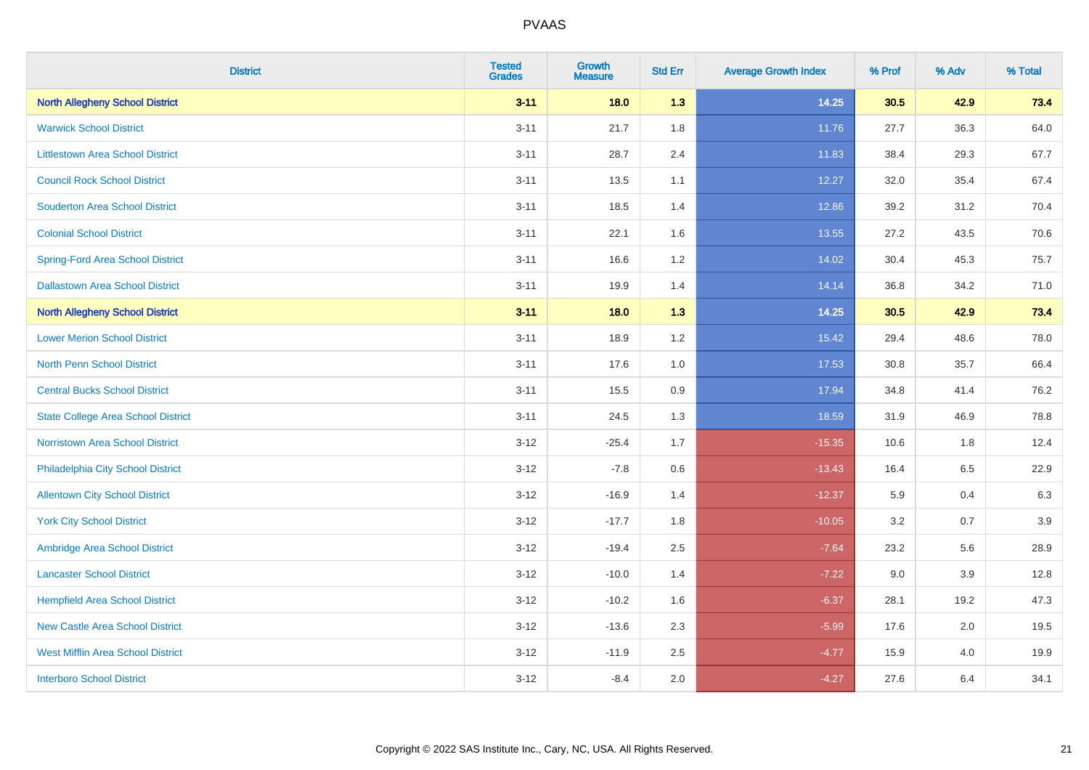| <b>District</b>                           | <b>Tested</b><br><b>Grades</b> | <b>Growth</b><br><b>Measure</b> | <b>Std Err</b> | <b>Average Growth Index</b> | % Prof | % Adv | % Total |
|-------------------------------------------|--------------------------------|---------------------------------|----------------|-----------------------------|--------|-------|---------|
| <b>North Allegheny School District</b>    | $3 - 11$                       | 18.0                            | 1.3            | 14.25                       | 30.5   | 42.9  | 73.4    |
| <b>Warwick School District</b>            | $3 - 11$                       | 21.7                            | 1.8            | 11.76                       | 27.7   | 36.3  | 64.0    |
| <b>Littlestown Area School District</b>   | $3 - 11$                       | 28.7                            | 2.4            | 11.83                       | 38.4   | 29.3  | 67.7    |
| <b>Council Rock School District</b>       | $3 - 11$                       | 13.5                            | 1.1            | 12.27                       | 32.0   | 35.4  | 67.4    |
| <b>Souderton Area School District</b>     | $3 - 11$                       | 18.5                            | 1.4            | 12.86                       | 39.2   | 31.2  | 70.4    |
| <b>Colonial School District</b>           | $3 - 11$                       | 22.1                            | 1.6            | 13.55                       | 27.2   | 43.5  | 70.6    |
| <b>Spring-Ford Area School District</b>   | $3 - 11$                       | 16.6                            | 1.2            | 14.02                       | 30.4   | 45.3  | 75.7    |
| <b>Dallastown Area School District</b>    | $3 - 11$                       | 19.9                            | 1.4            | 14.14                       | 36.8   | 34.2  | 71.0    |
| <b>North Allegheny School District</b>    | $3 - 11$                       | 18.0                            | 1.3            | 14.25                       | 30.5   | 42.9  | 73.4    |
| <b>Lower Merion School District</b>       | $3 - 11$                       | 18.9                            | 1.2            | 15.42                       | 29.4   | 48.6  | 78.0    |
| <b>North Penn School District</b>         | $3 - 11$                       | 17.6                            | 1.0            | 17.53                       | 30.8   | 35.7  | 66.4    |
| <b>Central Bucks School District</b>      | $3 - 11$                       | 15.5                            | 0.9            | 17.94                       | 34.8   | 41.4  | 76.2    |
| <b>State College Area School District</b> | $3 - 11$                       | 24.5                            | 1.3            | 18.59                       | 31.9   | 46.9  | 78.8    |
| Norristown Area School District           | $3 - 12$                       | $-25.4$                         | 1.7            | $-15.35$                    | 10.6   | 1.8   | 12.4    |
| Philadelphia City School District         | $3 - 12$                       | $-7.8$                          | $0.6\,$        | $-13.43$                    | 16.4   | 6.5   | 22.9    |
| <b>Allentown City School District</b>     | $3 - 12$                       | $-16.9$                         | 1.4            | $-12.37$                    | 5.9    | 0.4   | 6.3     |
| <b>York City School District</b>          | $3 - 12$                       | $-17.7$                         | 1.8            | $-10.05$                    | 3.2    | 0.7   | 3.9     |
| Ambridge Area School District             | $3 - 12$                       | $-19.4$                         | 2.5            | $-7.64$                     | 23.2   | 5.6   | 28.9    |
| <b>Lancaster School District</b>          | $3-12$                         | $-10.0$                         | 1.4            | $-7.22$                     | 9.0    | 3.9   | 12.8    |
| <b>Hempfield Area School District</b>     | $3-12$                         | $-10.2$                         | 1.6            | $-6.37$                     | 28.1   | 19.2  | 47.3    |
| <b>New Castle Area School District</b>    | $3 - 12$                       | $-13.6$                         | 2.3            | $-5.99$                     | 17.6   | 2.0   | 19.5    |
| <b>West Mifflin Area School District</b>  | $3 - 12$                       | $-11.9$                         | 2.5            | $-4.77$                     | 15.9   | 4.0   | 19.9    |
| <b>Interboro School District</b>          | $3-12$                         | $-8.4$                          | 2.0            | $-4.27$                     | 27.6   | 6.4   | 34.1    |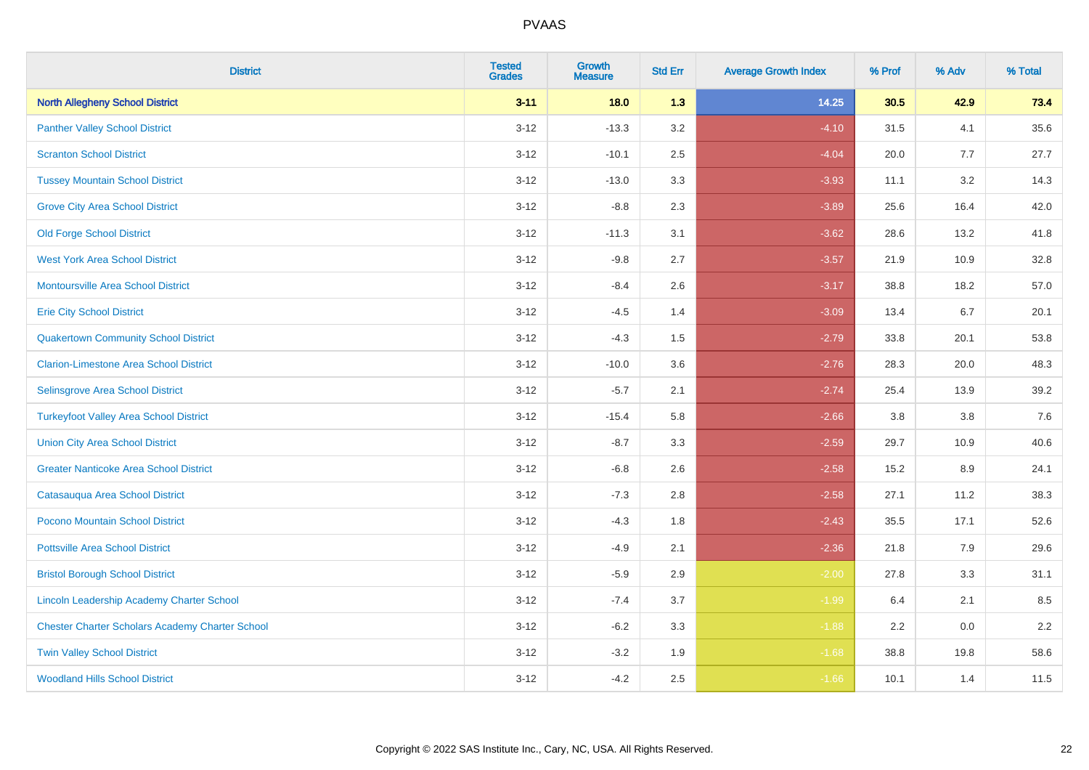| <b>District</b>                                        | <b>Tested</b><br><b>Grades</b> | <b>Growth</b><br><b>Measure</b> | <b>Std Err</b> | <b>Average Growth Index</b> | % Prof | % Adv | % Total |
|--------------------------------------------------------|--------------------------------|---------------------------------|----------------|-----------------------------|--------|-------|---------|
| <b>North Allegheny School District</b>                 | $3 - 11$                       | 18.0                            | 1.3            | 14.25                       | 30.5   | 42.9  | 73.4    |
| <b>Panther Valley School District</b>                  | $3 - 12$                       | $-13.3$                         | 3.2            | $-4.10$                     | 31.5   | 4.1   | 35.6    |
| <b>Scranton School District</b>                        | $3 - 12$                       | $-10.1$                         | 2.5            | $-4.04$                     | 20.0   | 7.7   | 27.7    |
| <b>Tussey Mountain School District</b>                 | $3 - 12$                       | $-13.0$                         | 3.3            | $-3.93$                     | 11.1   | 3.2   | 14.3    |
| <b>Grove City Area School District</b>                 | $3-12$                         | $-8.8$                          | 2.3            | $-3.89$                     | 25.6   | 16.4  | 42.0    |
| <b>Old Forge School District</b>                       | $3 - 12$                       | $-11.3$                         | 3.1            | $-3.62$                     | 28.6   | 13.2  | 41.8    |
| <b>West York Area School District</b>                  | $3 - 12$                       | $-9.8$                          | 2.7            | $-3.57$                     | 21.9   | 10.9  | 32.8    |
| <b>Montoursville Area School District</b>              | $3 - 12$                       | $-8.4$                          | 2.6            | $-3.17$                     | 38.8   | 18.2  | 57.0    |
| <b>Erie City School District</b>                       | $3 - 12$                       | $-4.5$                          | 1.4            | $-3.09$                     | 13.4   | 6.7   | 20.1    |
| <b>Quakertown Community School District</b>            | $3 - 12$                       | $-4.3$                          | 1.5            | $-2.79$                     | 33.8   | 20.1  | 53.8    |
| <b>Clarion-Limestone Area School District</b>          | $3 - 12$                       | $-10.0$                         | 3.6            | $-2.76$                     | 28.3   | 20.0  | 48.3    |
| Selinsgrove Area School District                       | $3-12$                         | $-5.7$                          | 2.1            | $-2.74$                     | 25.4   | 13.9  | 39.2    |
| <b>Turkeyfoot Valley Area School District</b>          | $3 - 12$                       | $-15.4$                         | 5.8            | $-2.66$                     | 3.8    | 3.8   | $7.6$   |
| <b>Union City Area School District</b>                 | $3 - 12$                       | $-8.7$                          | 3.3            | $-2.59$                     | 29.7   | 10.9  | 40.6    |
| <b>Greater Nanticoke Area School District</b>          | $3 - 12$                       | $-6.8$                          | 2.6            | $-2.58$                     | 15.2   | 8.9   | 24.1    |
| Catasauqua Area School District                        | $3 - 12$                       | $-7.3$                          | 2.8            | $-2.58$                     | 27.1   | 11.2  | 38.3    |
| Pocono Mountain School District                        | $3 - 12$                       | $-4.3$                          | 1.8            | $-2.43$                     | 35.5   | 17.1  | 52.6    |
| <b>Pottsville Area School District</b>                 | $3 - 12$                       | $-4.9$                          | 2.1            | $-2.36$                     | 21.8   | 7.9   | 29.6    |
| <b>Bristol Borough School District</b>                 | $3-12$                         | $-5.9$                          | 2.9            | $-2.00$                     | 27.8   | 3.3   | 31.1    |
| <b>Lincoln Leadership Academy Charter School</b>       | $3 - 12$                       | $-7.4$                          | 3.7            | $-1.99$                     | 6.4    | 2.1   | 8.5     |
| <b>Chester Charter Scholars Academy Charter School</b> | $3 - 12$                       | $-6.2$                          | 3.3            | $-1.88$                     | 2.2    | 0.0   | 2.2     |
| <b>Twin Valley School District</b>                     | $3 - 12$                       | $-3.2$                          | 1.9            | $-1.68$                     | 38.8   | 19.8  | 58.6    |
| <b>Woodland Hills School District</b>                  | $3-12$                         | $-4.2$                          | 2.5            | $-1.66$                     | 10.1   | 1.4   | 11.5    |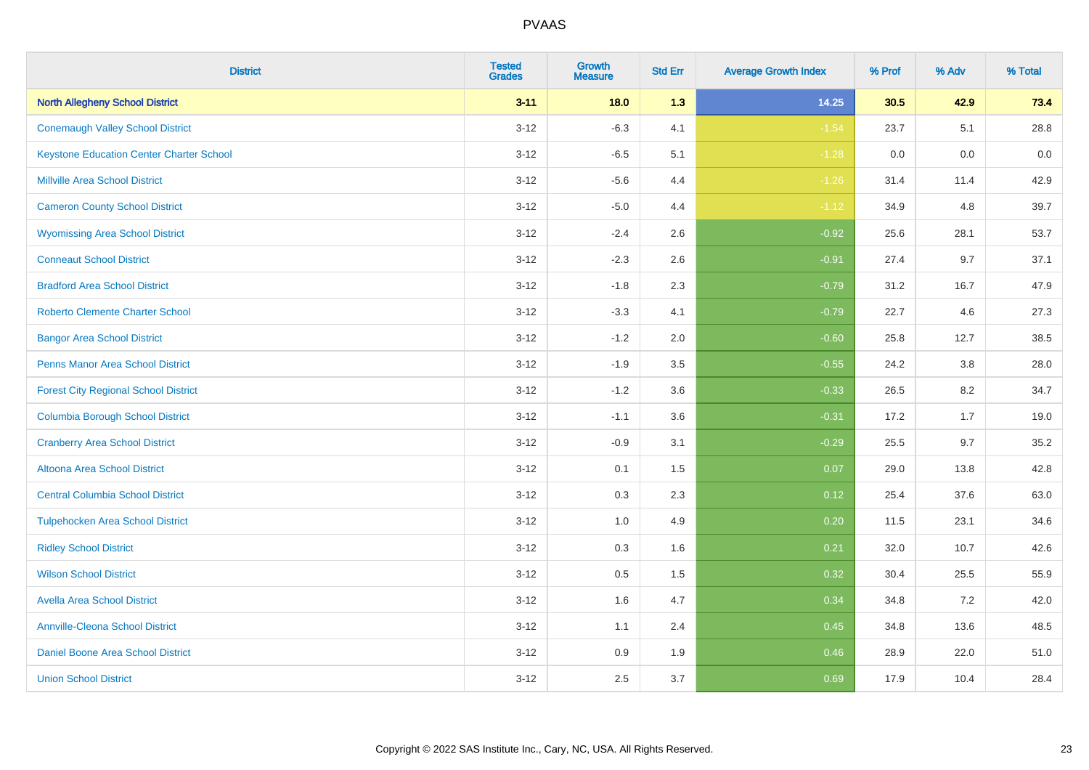| <b>District</b>                                 | <b>Tested</b><br><b>Grades</b> | Growth<br><b>Measure</b> | <b>Std Err</b> | <b>Average Growth Index</b> | % Prof | % Adv | % Total |
|-------------------------------------------------|--------------------------------|--------------------------|----------------|-----------------------------|--------|-------|---------|
| <b>North Allegheny School District</b>          | $3 - 11$                       | 18.0                     | 1.3            | 14.25                       | 30.5   | 42.9  | 73.4    |
| <b>Conemaugh Valley School District</b>         | $3 - 12$                       | $-6.3$                   | 4.1            | $-1.54$                     | 23.7   | 5.1   | 28.8    |
| <b>Keystone Education Center Charter School</b> | $3 - 12$                       | $-6.5$                   | 5.1            | $-1.28$                     | 0.0    | 0.0   | $0.0\,$ |
| <b>Millville Area School District</b>           | $3 - 12$                       | $-5.6$                   | 4.4            | $-1.26$                     | 31.4   | 11.4  | 42.9    |
| <b>Cameron County School District</b>           | $3 - 12$                       | $-5.0$                   | 4.4            | $-1.12$                     | 34.9   | 4.8   | 39.7    |
| <b>Wyomissing Area School District</b>          | $3 - 12$                       | $-2.4$                   | 2.6            | $-0.92$                     | 25.6   | 28.1  | 53.7    |
| <b>Conneaut School District</b>                 | $3 - 12$                       | $-2.3$                   | 2.6            | $-0.91$                     | 27.4   | 9.7   | 37.1    |
| <b>Bradford Area School District</b>            | $3 - 12$                       | $-1.8$                   | 2.3            | $-0.79$                     | 31.2   | 16.7  | 47.9    |
| <b>Roberto Clemente Charter School</b>          | $3 - 12$                       | $-3.3$                   | 4.1            | $-0.79$                     | 22.7   | 4.6   | 27.3    |
| <b>Bangor Area School District</b>              | $3 - 12$                       | $-1.2$                   | 2.0            | $-0.60$                     | 25.8   | 12.7  | 38.5    |
| <b>Penns Manor Area School District</b>         | $3 - 12$                       | $-1.9$                   | 3.5            | $-0.55$                     | 24.2   | 3.8   | 28.0    |
| <b>Forest City Regional School District</b>     | $3 - 12$                       | $-1.2$                   | 3.6            | $-0.33$                     | 26.5   | 8.2   | 34.7    |
| <b>Columbia Borough School District</b>         | $3 - 12$                       | $-1.1$                   | 3.6            | $-0.31$                     | 17.2   | 1.7   | 19.0    |
| <b>Cranberry Area School District</b>           | $3 - 12$                       | $-0.9$                   | 3.1            | $-0.29$                     | 25.5   | 9.7   | 35.2    |
| Altoona Area School District                    | $3 - 12$                       | 0.1                      | 1.5            | 0.07                        | 29.0   | 13.8  | 42.8    |
| <b>Central Columbia School District</b>         | $3 - 12$                       | 0.3                      | 2.3            | 0.12                        | 25.4   | 37.6  | 63.0    |
| <b>Tulpehocken Area School District</b>         | $3 - 12$                       | 1.0                      | 4.9            | 0.20                        | 11.5   | 23.1  | 34.6    |
| <b>Ridley School District</b>                   | $3 - 12$                       | 0.3                      | 1.6            | 0.21                        | 32.0   | 10.7  | 42.6    |
| <b>Wilson School District</b>                   | $3 - 12$                       | 0.5                      | 1.5            | 0.32                        | 30.4   | 25.5  | 55.9    |
| <b>Avella Area School District</b>              | $3 - 12$                       | 1.6                      | 4.7            | 0.34                        | 34.8   | 7.2   | 42.0    |
| <b>Annville-Cleona School District</b>          | $3 - 12$                       | 1.1                      | 2.4            | 0.45                        | 34.8   | 13.6  | 48.5    |
| Daniel Boone Area School District               | $3 - 12$                       | 0.9                      | 1.9            | 0.46                        | 28.9   | 22.0  | 51.0    |
| <b>Union School District</b>                    | $3 - 12$                       | 2.5                      | 3.7            | 0.69                        | 17.9   | 10.4  | 28.4    |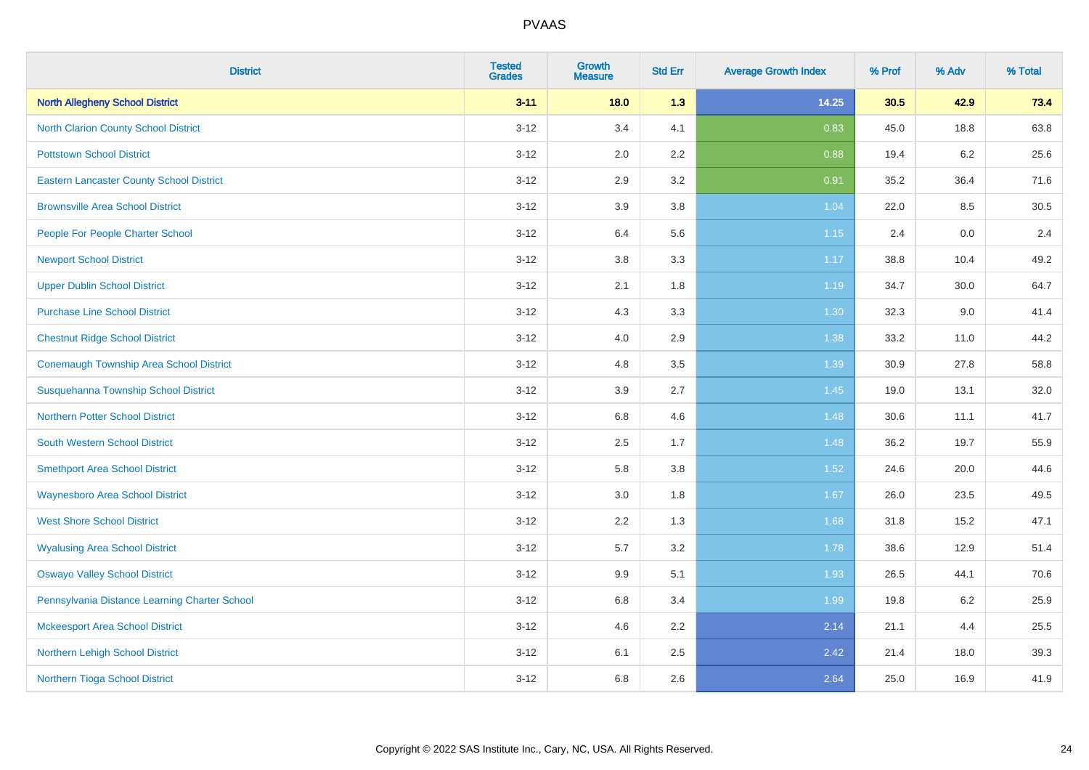| <b>District</b>                                 | <b>Tested</b><br><b>Grades</b> | <b>Growth</b><br><b>Measure</b> | <b>Std Err</b> | <b>Average Growth Index</b> | % Prof | % Adv   | % Total |
|-------------------------------------------------|--------------------------------|---------------------------------|----------------|-----------------------------|--------|---------|---------|
| <b>North Allegheny School District</b>          | $3 - 11$                       | 18.0                            | 1.3            | 14.25                       | 30.5   | 42.9    | 73.4    |
| North Clarion County School District            | $3 - 12$                       | 3.4                             | 4.1            | 0.83                        | 45.0   | 18.8    | 63.8    |
| <b>Pottstown School District</b>                | $3 - 12$                       | 2.0                             | 2.2            | 0.88                        | 19.4   | $6.2\,$ | 25.6    |
| <b>Eastern Lancaster County School District</b> | $3 - 12$                       | 2.9                             | 3.2            | 0.91                        | 35.2   | 36.4    | 71.6    |
| <b>Brownsville Area School District</b>         | $3 - 12$                       | 3.9                             | 3.8            | 1.04                        | 22.0   | 8.5     | 30.5    |
| People For People Charter School                | $3 - 12$                       | 6.4                             | 5.6            | 1.15                        | 2.4    | 0.0     | 2.4     |
| <b>Newport School District</b>                  | $3 - 12$                       | $3.8\,$                         | 3.3            | 1.17                        | 38.8   | 10.4    | 49.2    |
| <b>Upper Dublin School District</b>             | $3 - 12$                       | 2.1                             | 1.8            | 1.19                        | 34.7   | 30.0    | 64.7    |
| <b>Purchase Line School District</b>            | $3 - 12$                       | 4.3                             | 3.3            | 1.30                        | 32.3   | 9.0     | 41.4    |
| <b>Chestnut Ridge School District</b>           | $3-12$                         | 4.0                             | 2.9            | 1.38                        | 33.2   | 11.0    | 44.2    |
| <b>Conemaugh Township Area School District</b>  | $3 - 12$                       | 4.8                             | 3.5            | 1.39                        | 30.9   | 27.8    | 58.8    |
| Susquehanna Township School District            | $3 - 12$                       | 3.9                             | 2.7            | 1.45                        | 19.0   | 13.1    | 32.0    |
| <b>Northern Potter School District</b>          | $3 - 12$                       | 6.8                             | 4.6            | 1.48                        | 30.6   | 11.1    | 41.7    |
| <b>South Western School District</b>            | $3 - 12$                       | 2.5                             | 1.7            | 1.48                        | 36.2   | 19.7    | 55.9    |
| <b>Smethport Area School District</b>           | $3 - 12$                       | 5.8                             | 3.8            | $1.52$                      | 24.6   | 20.0    | 44.6    |
| <b>Waynesboro Area School District</b>          | $3 - 12$                       | 3.0                             | 1.8            | 1.67                        | 26.0   | 23.5    | 49.5    |
| <b>West Shore School District</b>               | $3 - 12$                       | 2.2                             | 1.3            | 1.68                        | 31.8   | 15.2    | 47.1    |
| <b>Wyalusing Area School District</b>           | $3 - 12$                       | 5.7                             | 3.2            | 1.78                        | 38.6   | 12.9    | 51.4    |
| <b>Oswayo Valley School District</b>            | $3 - 12$                       | 9.9                             | 5.1            | 1.93                        | 26.5   | 44.1    | 70.6    |
| Pennsylvania Distance Learning Charter School   | $3 - 12$                       | 6.8                             | 3.4            | 1.99                        | 19.8   | $6.2\,$ | 25.9    |
| <b>Mckeesport Area School District</b>          | $3-12$                         | 4.6                             | 2.2            | 2.14                        | 21.1   | 4.4     | 25.5    |
| Northern Lehigh School District                 | $3 - 12$                       | 6.1                             | 2.5            | 2.42                        | 21.4   | 18.0    | 39.3    |
| Northern Tioga School District                  | $3 - 12$                       | 6.8                             | 2.6            | 2.64                        | 25.0   | 16.9    | 41.9    |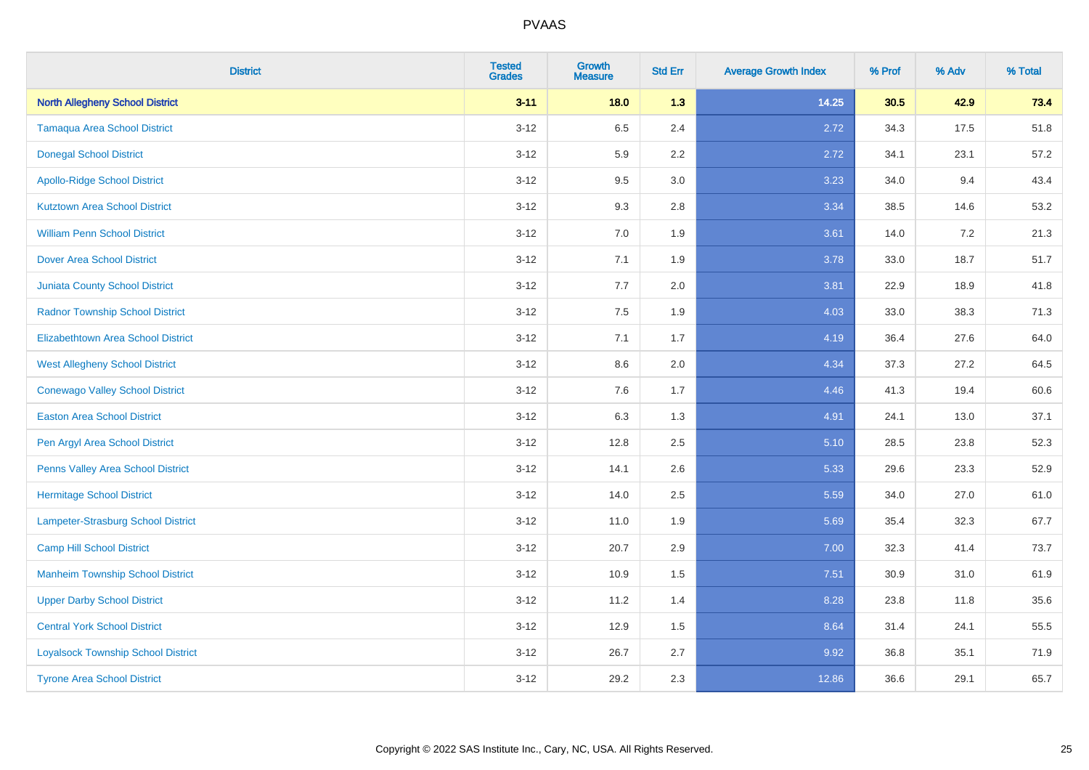| <b>District</b>                           | <b>Tested</b><br><b>Grades</b> | <b>Growth</b><br><b>Measure</b> | <b>Std Err</b> | <b>Average Growth Index</b> | % Prof | % Adv | % Total |
|-------------------------------------------|--------------------------------|---------------------------------|----------------|-----------------------------|--------|-------|---------|
| <b>North Allegheny School District</b>    | $3 - 11$                       | 18.0                            | 1.3            | 14.25                       | 30.5   | 42.9  | 73.4    |
| <b>Tamaqua Area School District</b>       | $3 - 12$                       | 6.5                             | 2.4            | 2.72                        | 34.3   | 17.5  | 51.8    |
| <b>Donegal School District</b>            | $3 - 12$                       | 5.9                             | 2.2            | 2.72                        | 34.1   | 23.1  | 57.2    |
| <b>Apollo-Ridge School District</b>       | $3 - 12$                       | 9.5                             | 3.0            | 3.23                        | 34.0   | 9.4   | 43.4    |
| <b>Kutztown Area School District</b>      | $3 - 12$                       | 9.3                             | 2.8            | 3.34                        | 38.5   | 14.6  | 53.2    |
| <b>William Penn School District</b>       | $3 - 12$                       | 7.0                             | 1.9            | 3.61                        | 14.0   | 7.2   | 21.3    |
| Dover Area School District                | $3 - 12$                       | 7.1                             | 1.9            | 3.78                        | 33.0   | 18.7  | 51.7    |
| <b>Juniata County School District</b>     | $3 - 12$                       | 7.7                             | 2.0            | 3.81                        | 22.9   | 18.9  | 41.8    |
| <b>Radnor Township School District</b>    | $3 - 12$                       | 7.5                             | 1.9            | 4.03                        | 33.0   | 38.3  | 71.3    |
| <b>Elizabethtown Area School District</b> | $3 - 12$                       | 7.1                             | 1.7            | 4.19                        | 36.4   | 27.6  | 64.0    |
| <b>West Allegheny School District</b>     | $3 - 12$                       | 8.6                             | 2.0            | 4.34                        | 37.3   | 27.2  | 64.5    |
| <b>Conewago Valley School District</b>    | $3 - 12$                       | 7.6                             | 1.7            | 4.46                        | 41.3   | 19.4  | 60.6    |
| <b>Easton Area School District</b>        | $3 - 12$                       | 6.3                             | 1.3            | 4.91                        | 24.1   | 13.0  | 37.1    |
| Pen Argyl Area School District            | $3 - 12$                       | 12.8                            | 2.5            | 5.10                        | 28.5   | 23.8  | 52.3    |
| Penns Valley Area School District         | $3 - 12$                       | 14.1                            | 2.6            | 5.33                        | 29.6   | 23.3  | 52.9    |
| <b>Hermitage School District</b>          | $3 - 12$                       | 14.0                            | 2.5            | 5.59                        | 34.0   | 27.0  | 61.0    |
| Lampeter-Strasburg School District        | $3 - 12$                       | 11.0                            | 1.9            | 5.69                        | 35.4   | 32.3  | 67.7    |
| <b>Camp Hill School District</b>          | $3 - 12$                       | 20.7                            | 2.9            | 7.00                        | 32.3   | 41.4  | 73.7    |
| <b>Manheim Township School District</b>   | $3 - 12$                       | 10.9                            | 1.5            | 7.51                        | 30.9   | 31.0  | 61.9    |
| <b>Upper Darby School District</b>        | $3 - 12$                       | 11.2                            | 1.4            | 8.28                        | 23.8   | 11.8  | 35.6    |
| <b>Central York School District</b>       | $3 - 12$                       | 12.9                            | 1.5            | 8.64                        | 31.4   | 24.1  | 55.5    |
| <b>Loyalsock Township School District</b> | $3 - 12$                       | 26.7                            | 2.7            | 9.92                        | 36.8   | 35.1  | 71.9    |
| <b>Tyrone Area School District</b>        | $3-12$                         | 29.2                            | 2.3            | 12.86                       | 36.6   | 29.1  | 65.7    |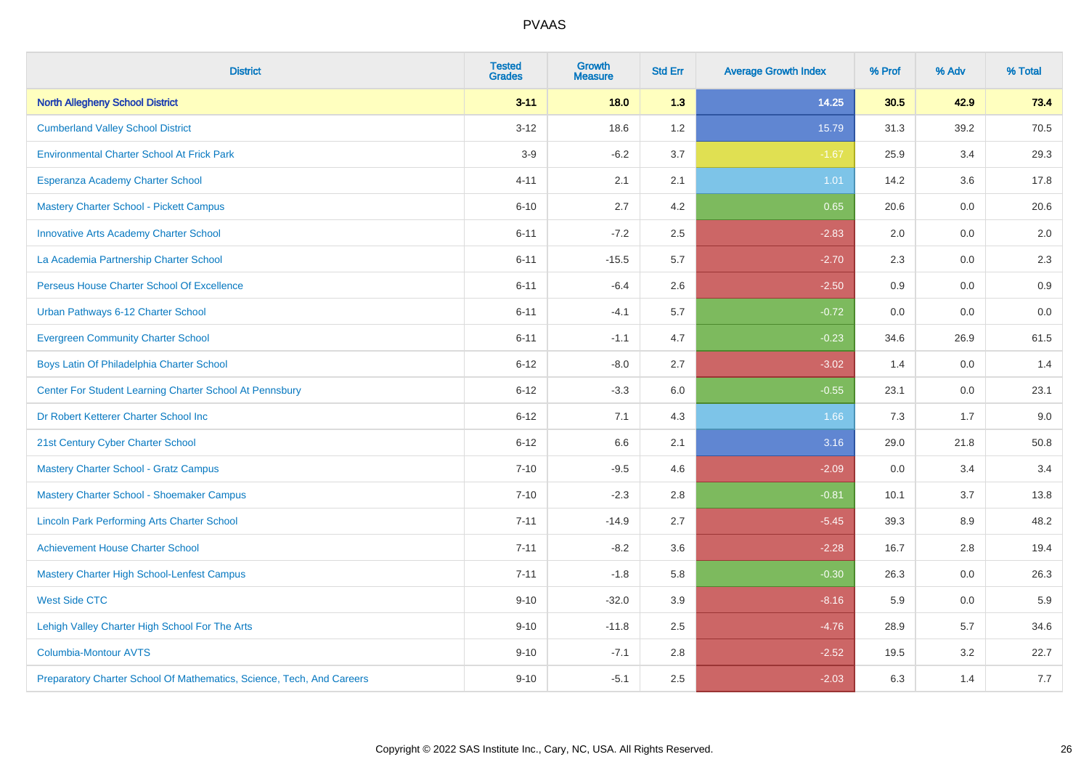| <b>District</b>                                                       | <b>Tested</b><br><b>Grades</b> | <b>Growth</b><br><b>Measure</b> | <b>Std Err</b> | <b>Average Growth Index</b> | % Prof | % Adv | % Total |
|-----------------------------------------------------------------------|--------------------------------|---------------------------------|----------------|-----------------------------|--------|-------|---------|
| <b>North Allegheny School District</b>                                | $3 - 11$                       | 18.0                            | 1.3            | 14.25                       | 30.5   | 42.9  | 73.4    |
| <b>Cumberland Valley School District</b>                              | $3 - 12$                       | 18.6                            | 1.2            | 15.79                       | 31.3   | 39.2  | 70.5    |
| <b>Environmental Charter School At Frick Park</b>                     | $3-9$                          | $-6.2$                          | 3.7            | $-1.67$                     | 25.9   | 3.4   | 29.3    |
| Esperanza Academy Charter School                                      | $4 - 11$                       | 2.1                             | 2.1            | 1.01                        | 14.2   | 3.6   | 17.8    |
| <b>Mastery Charter School - Pickett Campus</b>                        | $6 - 10$                       | 2.7                             | 4.2            | 0.65                        | 20.6   | 0.0   | 20.6    |
| <b>Innovative Arts Academy Charter School</b>                         | $6 - 11$                       | $-7.2$                          | 2.5            | $-2.83$                     | 2.0    | 0.0   | 2.0     |
| La Academia Partnership Charter School                                | $6 - 11$                       | $-15.5$                         | 5.7            | $-2.70$                     | 2.3    | 0.0   | 2.3     |
| Perseus House Charter School Of Excellence                            | $6 - 11$                       | $-6.4$                          | 2.6            | $-2.50$                     | 0.9    | 0.0   | 0.9     |
| Urban Pathways 6-12 Charter School                                    | $6 - 11$                       | $-4.1$                          | 5.7            | $-0.72$                     | 0.0    | 0.0   | $0.0\,$ |
| <b>Evergreen Community Charter School</b>                             | $6 - 11$                       | $-1.1$                          | 4.7            | $-0.23$                     | 34.6   | 26.9  | 61.5    |
| Boys Latin Of Philadelphia Charter School                             | $6 - 12$                       | $-8.0$                          | 2.7            | $-3.02$                     | 1.4    | 0.0   | 1.4     |
| Center For Student Learning Charter School At Pennsbury               | $6 - 12$                       | $-3.3$                          | 6.0            | $-0.55$                     | 23.1   | 0.0   | 23.1    |
| Dr Robert Ketterer Charter School Inc                                 | $6 - 12$                       | 7.1                             | 4.3            | 1.66                        | 7.3    | 1.7   | 9.0     |
| 21st Century Cyber Charter School                                     | $6 - 12$                       | 6.6                             | 2.1            | 3.16                        | 29.0   | 21.8  | 50.8    |
| <b>Mastery Charter School - Gratz Campus</b>                          | $7 - 10$                       | $-9.5$                          | 4.6            | $-2.09$                     | 0.0    | 3.4   | 3.4     |
| Mastery Charter School - Shoemaker Campus                             | $7 - 10$                       | $-2.3$                          | 2.8            | $-0.81$                     | 10.1   | 3.7   | 13.8    |
| <b>Lincoln Park Performing Arts Charter School</b>                    | $7 - 11$                       | $-14.9$                         | 2.7            | $-5.45$                     | 39.3   | 8.9   | 48.2    |
| <b>Achievement House Charter School</b>                               | $7 - 11$                       | $-8.2$                          | 3.6            | $-2.28$                     | 16.7   | 2.8   | 19.4    |
| <b>Mastery Charter High School-Lenfest Campus</b>                     | $7 - 11$                       | $-1.8$                          | 5.8            | $-0.30$                     | 26.3   | 0.0   | 26.3    |
| <b>West Side CTC</b>                                                  | $9 - 10$                       | $-32.0$                         | 3.9            | $-8.16$                     | 5.9    | 0.0   | 5.9     |
| Lehigh Valley Charter High School For The Arts                        | $9 - 10$                       | $-11.8$                         | 2.5            | $-4.76$                     | 28.9   | 5.7   | 34.6    |
| <b>Columbia-Montour AVTS</b>                                          | $9 - 10$                       | $-7.1$                          | 2.8            | $-2.52$                     | 19.5   | 3.2   | 22.7    |
| Preparatory Charter School Of Mathematics, Science, Tech, And Careers | $9 - 10$                       | $-5.1$                          | 2.5            | $-2.03$                     | 6.3    | 1.4   | 7.7     |